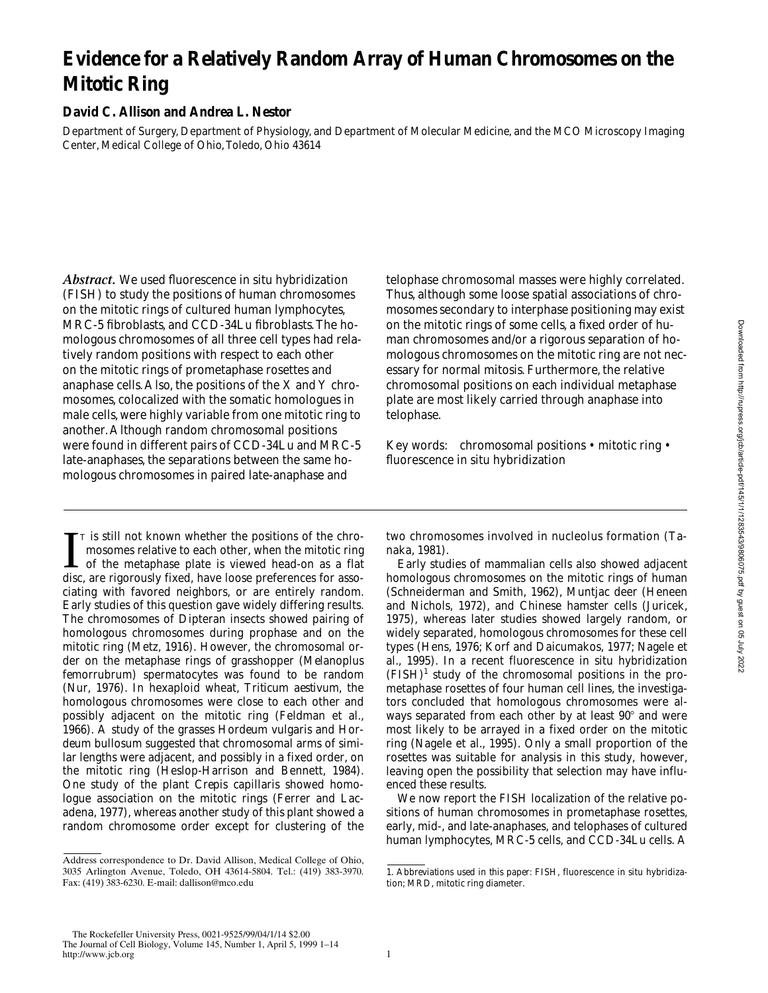# **Evidence for a Relatively Random Array of Human Chromosomes on the Mitotic Ring**

### **David C. Allison and Andrea L. Nestor**

Department of Surgery, Department of Physiology, and Department of Molecular Medicine, and the MCO Microscopy Imaging Center, Medical College of Ohio, Toledo, Ohio 43614

*Abstract.* We used fluorescence in situ hybridization (FISH) to study the positions of human chromosomes on the mitotic rings of cultured human lymphocytes, MRC-5 fibroblasts, and CCD-34Lu fibroblasts. The homologous chromosomes of all three cell types had relatively random positions with respect to each other on the mitotic rings of prometaphase rosettes and anaphase cells. Also, the positions of the X and Y chromosomes, colocalized with the somatic homologues in male cells, were highly variable from one mitotic ring to another. Although random chromosomal positions were found in different pairs of CCD-34Lu and MRC-5 late-anaphases, the separations between the same homologous chromosomes in paired late-anaphase and

 $\Gamma$ <sup>T</sup> is still not known whether the positions of the chromosomes relative to each other, when the mitotic ring of the metaphase plate is viewed head-on as a flat disc, are rigorously fixed, have loose preferences for a T is still not known whether the positions of the chromosomes relative to each other, when the mitotic ring of the metaphase plate is viewed head-on as a flat ciating with favored neighbors, or are entirely random. Early studies of this question gave widely differing results. The chromosomes of Dipteran insects showed pairing of homologous chromosomes during prophase and on the mitotic ring (Metz, 1916). However, the chromosomal order on the metaphase rings of grasshopper (*Melanoplus femorrubrum*) spermatocytes was found to be random (Nur, 1976). In hexaploid wheat, *Triticum aestivum*, the homologous chromosomes were close to each other and possibly adjacent on the mitotic ring (Feldman et al., 1966). A study of the grasses *Hordeum vulgaris* and *Hordeum bullosum* suggested that chromosomal arms of similar lengths were adjacent, and possibly in a fixed order, on the mitotic ring (Heslop-Harrison and Bennett, 1984). One study of the plant *Crepis capillaris* showed homologue association on the mitotic rings (Ferrer and Lacadena, 1977), whereas another study of this plant showed a random chromosome order except for clustering of the

telophase chromosomal masses were highly correlated. Thus, although some loose spatial associations of chromosomes secondary to interphase positioning may exist on the mitotic rings of some cells, a fixed order of human chromosomes and/or a rigorous separation of homologous chromosomes on the mitotic ring are not necessary for normal mitosis. Furthermore, the relative chromosomal positions on each individual metaphase plate are most likely carried through anaphase into telophase.

Key words: chromosomal positions • mitotic ring • fluorescence in situ hybridization

two chromosomes involved in nucleolus formation (Tanaka, 1981).

Early studies of mammalian cells also showed adjacent homologous chromosomes on the mitotic rings of human (Schneiderman and Smith, 1962), Muntjac deer (Heneen and Nichols, 1972), and Chinese hamster cells (Juricek, 1975), whereas later studies showed largely random, or widely separated, homologous chromosomes for these cell types (Hens, 1976; Korf and Daicumakos, 1977; Nagele et al., 1995). In a recent fluorescence in situ hybridization  $(FISH)^1$  study of the chromosomal positions in the prometaphase rosettes of four human cell lines, the investigators concluded that homologous chromosomes were always separated from each other by at least  $90^\circ$  and were most likely to be arrayed in a fixed order on the mitotic ring (Nagele et al., 1995). Only a small proportion of the rosettes was suitable for analysis in this study, however, leaving open the possibility that selection may have influenced these results.

We now report the FISH localization of the relative positions of human chromosomes in prometaphase rosettes, early, mid-, and late-anaphases, and telophases of cultured human lymphocytes, MRC-5 cells, and CCD-34Lu cells. A

Address correspondence to Dr. David Allison, Medical College of Ohio, 3035 Arlington Avenue, Toledo, OH 43614-5804. Tel.: (419) 383-3970. Fax: (419) 383-6230. E-mail: dallison@mco.edu

<sup>1.</sup> *Abbreviations used in this paper:* FISH, fluorescence in situ hybridization; MRD, mitotic ring diameter.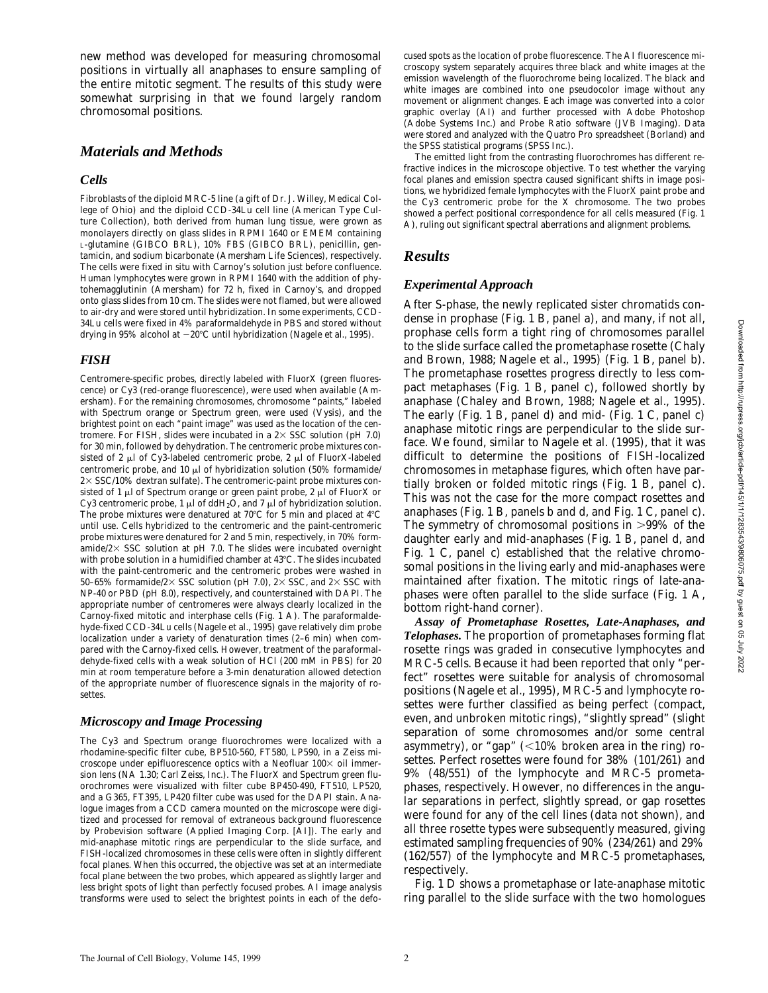new method was developed for measuring chromosomal positions in virtually all anaphases to ensure sampling of the entire mitotic segment. The results of this study were somewhat surprising in that we found largely random chromosomal positions.

### *Materials and Methods*

#### *Cells*

Fibroblasts of the diploid MRC-5 line (a gift of Dr. J. Willey, Medical College of Ohio) and the diploid CCD-34Lu cell line (American Type Culture Collection), both derived from human lung tissue, were grown as monolayers directly on glass slides in RPMI 1640 or EMEM containing L-glutamine (GIBCO BRL), 10% FBS (GIBCO BRL), penicillin, gentamicin, and sodium bicarbonate (Amersham Life Sciences), respectively. The cells were fixed in situ with Carnoy's solution just before confluence. Human lymphocytes were grown in RPMI 1640 with the addition of phytohemagglutinin (Amersham) for 72 h, fixed in Carnoy's, and dropped onto glass slides from 10 cm. The slides were not flamed, but were allowed to air-dry and were stored until hybridization. In some experiments, CCD-34Lu cells were fixed in 4% paraformaldehyde in PBS and stored without drying in 95% alcohol at  $-20^{\circ}$ C until hybridization (Nagele et al., 1995).

### *FISH*

Centromere-specific probes, directly labeled with FluorX (green fluorescence) or Cy3 (red-orange fluorescence), were used when available (Amersham). For the remaining chromosomes, chromosome "paints," labeled with Spectrum orange or Spectrum green, were used (Vysis), and the brightest point on each "paint image" was used as the location of the centromere. For FISH, slides were incubated in a  $2 \times SSC$  solution (pH 7.0) for 30 min, followed by dehydration. The centromeric probe mixtures consisted of 2  $\mu$ l of Cy3-labeled centromeric probe, 2  $\mu$ l of FluorX-labeled centromeric probe, and 10  $\mu$ l of hybridization solution (50% formamide/  $2\times$  SSC/10% dextran sulfate). The centromeric-paint probe mixtures consisted of 1  $\mu$ l of Spectrum orange or green paint probe, 2  $\mu$ l of FluorX or Cy3 centromeric probe, 1  $\mu$ l of ddH<sub>2</sub>O, and 7  $\mu$ l of hybridization solution. The probe mixtures were denatured at  $70^{\circ}$ C for 5 min and placed at  $4^{\circ}$ C until use. Cells hybridized to the centromeric and the paint-centromeric probe mixtures were denatured for 2 and 5 min, respectively, in 70% formamide/ $2 \times$  SSC solution at pH 7.0. The slides were incubated overnight with probe solution in a humidified chamber at 43°C. The slides incubated with the paint-centromeric and the centromeric probes were washed in 50–65% formamide/2 $\times$  SSC solution (pH 7.0), 2 $\times$  SSC, and 2 $\times$  SSC with NP-40 or PBD (pH 8.0), respectively, and counterstained with DAPI. The appropriate number of centromeres were always clearly localized in the Carnoy-fixed mitotic and interphase cells (Fig. 1 A). The paraformaldehyde-fixed CCD-34Lu cells (Nagele et al., 1995) gave relatively dim probe localization under a variety of denaturation times (2–6 min) when compared with the Carnoy-fixed cells. However, treatment of the paraformaldehyde-fixed cells with a weak solution of HCl (200 mM in PBS) for 20 min at room temperature before a 3-min denaturation allowed detection of the appropriate number of fluorescence signals in the majority of rosettes.

### *Microscopy and Image Processing*

The Cy3 and Spectrum orange fluorochromes were localized with a rhodamine-specific filter cube, BP510-560, FT580, LP590, in a Zeiss microscope under epifluorescence optics with a Neofluar  $100\times$  oil immersion lens (NA 1.30; Carl Zeiss, Inc.). The FluorX and Spectrum green fluorochromes were visualized with filter cube BP450-490, FT510, LP520, and a G365, FT395, LP420 filter cube was used for the DAPI stain. Analogue images from a CCD camera mounted on the microscope were digitized and processed for removal of extraneous background fluorescence by Probevision software (Applied Imaging Corp. [AI]). The early and mid-anaphase mitotic rings are perpendicular to the slide surface, and FISH-localized chromosomes in these cells were often in slightly different focal planes. When this occurred, the objective was set at an intermediate focal plane between the two probes, which appeared as slightly larger and less bright spots of light than perfectly focused probes. AI image analysis transforms were used to select the brightest points in each of the defo-

cused spots as the location of probe fluorescence. The AI fluorescence microscopy system separately acquires three black and white images at the emission wavelength of the fluorochrome being localized. The black and white images are combined into one pseudocolor image without any movement or alignment changes. Each image was converted into a color graphic overlay (AI) and further processed with Adobe Photoshop (Adobe Systems Inc.) and Probe Ratio software (JVB Imaging). Data were stored and analyzed with the Quatro Pro spreadsheet (Borland) and the SPSS statistical programs (SPSS Inc.).

The emitted light from the contrasting fluorochromes has different refractive indices in the microscope objective. To test whether the varying focal planes and emission spectra caused significant shifts in image positions, we hybridized female lymphocytes with the FluorX paint probe and the Cy3 centromeric probe for the X chromosome. The two probes showed a perfect positional correspondence for all cells measured (Fig. 1 A), ruling out significant spectral aberrations and alignment problems.

### *Results*

### *Experimental Approach*

After S-phase, the newly replicated sister chromatids condense in prophase (Fig. 1 B, panel a), and many, if not all, prophase cells form a tight ring of chromosomes parallel to the slide surface called the prometaphase rosette (Chaly and Brown, 1988; Nagele et al., 1995) (Fig. 1 B, panel b). The prometaphase rosettes progress directly to less compact metaphases (Fig. 1 B, panel c), followed shortly by anaphase (Chaley and Brown, 1988; Nagele et al., 1995). The early (Fig. 1 B, panel d) and mid- (Fig. 1 C, panel c) anaphase mitotic rings are perpendicular to the slide surface. We found, similar to Nagele et al. (1995), that it was difficult to determine the positions of FISH-localized chromosomes in metaphase figures, which often have partially broken or folded mitotic rings (Fig. 1 B, panel c). This was not the case for the more compact rosettes and anaphases (Fig. 1 B, panels b and d, and Fig. 1 C, panel c). The symmetry of chromosomal positions in  $>99\%$  of the daughter early and mid-anaphases (Fig. 1 B, panel d, and Fig. 1 C, panel c) established that the relative chromosomal positions in the living early and mid-anaphases were maintained after fixation. The mitotic rings of late-anaphases were often parallel to the slide surface (Fig. 1 A, bottom right-hand corner).

*Assay of Prometaphase Rosettes, Late-Anaphases, and Telophases.* The proportion of prometaphases forming flat rosette rings was graded in consecutive lymphocytes and MRC-5 cells. Because it had been reported that only "perfect" rosettes were suitable for analysis of chromosomal positions (Nagele et al., 1995), MRC-5 and lymphocyte rosettes were further classified as being perfect (compact, even, and unbroken mitotic rings), "slightly spread" (slight separation of some chromosomes and/or some central asymmetry), or "gap"  $\langle$  <10% broken area in the ring) rosettes. Perfect rosettes were found for 38% (101/261) and 9% (48/551) of the lymphocyte and MRC-5 prometaphases, respectively. However, no differences in the angular separations in perfect, slightly spread, or gap rosettes were found for any of the cell lines (data not shown), and all three rosette types were subsequently measured, giving estimated sampling frequencies of 90% (234/261) and 29% (162/557) of the lymphocyte and MRC-5 prometaphases, respectively.

Fig. 1 D shows a prometaphase or late-anaphase mitotic ring parallel to the slide surface with the two homologues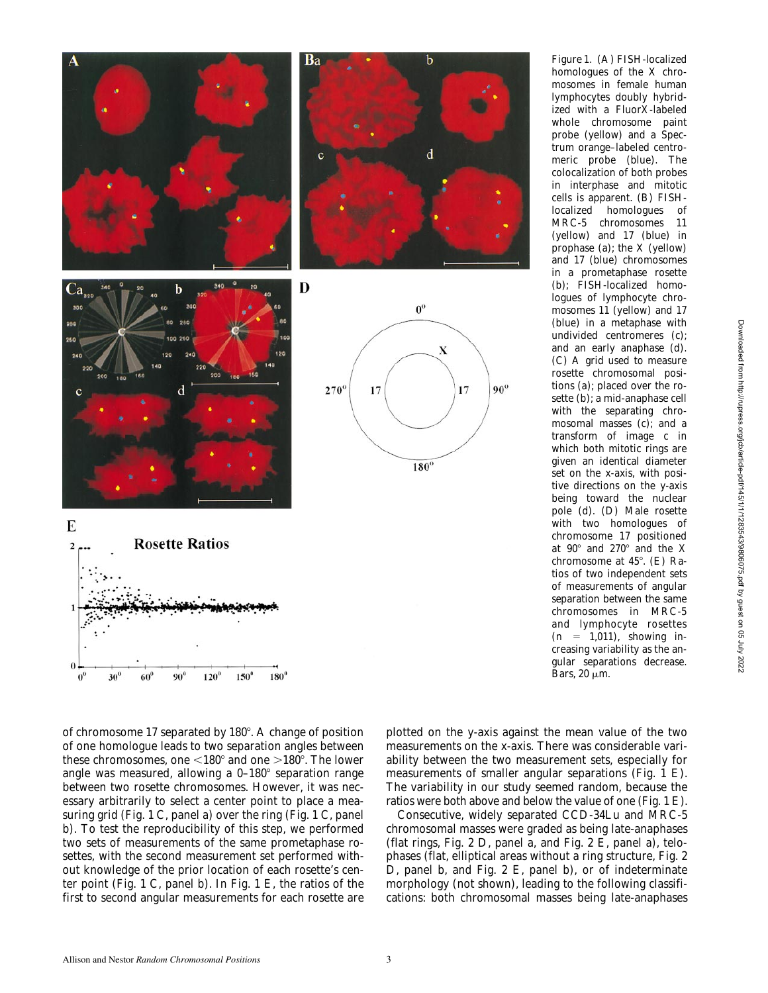

*Figure 1*. (A) FISH-localized homologues of the X chromosomes in female human lymphocytes doubly hybridized with a FluorX-labeled whole chromosome paint probe (yellow) and a Spectrum orange–labeled centromeric probe (blue). The colocalization of both probes in interphase and mitotic cells is apparent. (B) FISHlocalized homologues of MRC-5 chromosomes 11 (yellow) and 17 (blue) in prophase (a); the X (yellow) and 17 (blue) chromosomes in a prometaphase rosette (b); FISH-localized homologues of lymphocyte chromosomes 11 (yellow) and 17 (blue) in a metaphase with undivided centromeres (c); and an early anaphase (d). (C) A grid used to measure rosette chromosomal positions (a); placed over the rosette (b); a mid-anaphase cell with the separating chromosomal masses (c); and a transform of image c in which both mitotic rings are given an identical diameter set on the x-axis, with positive directions on the y-axis being toward the nuclear pole (d). (D) Male rosette with two homologues of chromosome 17 positioned at  $90^\circ$  and  $270^\circ$  and the X chromosome at  $45^{\circ}$ . (E) Ratios of two independent sets of measurements of angular separation between the same chromosomes in MRC-5 and lymphocyte rosettes  $(n = 1,011)$ , showing increasing variability as the angular separations decrease. Bars,  $20 \mu m$ .

of chromosome 17 separated by  $180^\circ$ . A change of position of one homologue leads to two separation angles between these chromosomes, one  $\leq 180^\circ$  and one  $>180^\circ$ . The lower angle was measured, allowing a  $0-180^\circ$  separation range between two rosette chromosomes. However, it was necessary arbitrarily to select a center point to place a measuring grid (Fig. 1 C, panel a) over the ring (Fig. 1 C, panel b). To test the reproducibility of this step, we performed two sets of measurements of the same prometaphase rosettes, with the second measurement set performed without knowledge of the prior location of each rosette's center point (Fig. 1 C, panel b). In Fig. 1 E, the ratios of the first to second angular measurements for each rosette are

plotted on the y-axis against the mean value of the two measurements on the x-axis. There was considerable variability between the two measurement sets, especially for measurements of smaller angular separations (Fig. 1 E). The variability in our study seemed random, because the ratios were both above and below the value of one (Fig. 1 E).

Consecutive, widely separated CCD-34Lu and MRC-5 chromosomal masses were graded as being late-anaphases (flat rings, Fig. 2 D, panel a, and Fig. 2 E, panel a), telophases (flat, elliptical areas without a ring structure, Fig. 2 D, panel b, and Fig. 2 E, panel b), or of indeterminate morphology (not shown), leading to the following classifications: both chromosomal masses being late-anaphases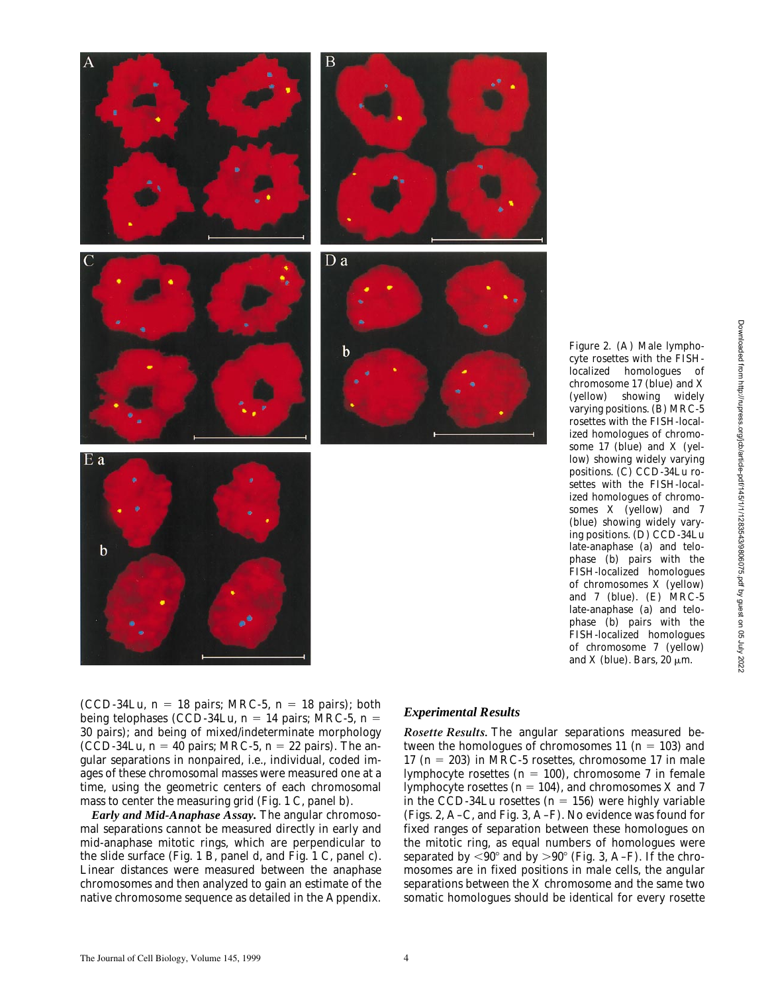

*Figure 2*. (A) Male lymphocyte rosettes with the FISHlocalized homologues of chromosome 17 (blue) and X (yellow) showing widely varying positions. (B) MRC-5 rosettes with the FISH-localized homologues of chromosome 17 (blue) and X (yellow) showing widely varying positions. (C) CCD-34Lu rosettes with the FISH-localized homologues of chromosomes X (yellow) and 7 (blue) showing widely varying positions. (D) CCD-34Lu late-anaphase (a) and telophase (b) pairs with the FISH-localized homologues of chromosomes X (yellow) and 7 (blue). (E) MRC-5 late-anaphase (a) and telophase (b) pairs with the FISH-localized homologues of chromosome 7 (yellow) and X (blue). Bars, 20  $\mu$ m.

being telophases (CCD-34Lu,  $n = 14$  pairs; MRC-5,  $n =$ 30 pairs); and being of mixed/indeterminate morphology (CCD-34Lu,  $n = 40$  pairs; MRC-5,  $n = 22$  pairs). The angular separations in nonpaired, i.e., individual, coded images of these chromosomal masses were measured one at a time, using the geometric centers of each chromosomal mass to center the measuring grid (Fig. 1 C, panel b).

*Early and Mid-Anaphase Assay.* The angular chromosomal separations cannot be measured directly in early and mid-anaphase mitotic rings, which are perpendicular to the slide surface (Fig. 1 B, panel d, and Fig. 1 C, panel c). Linear distances were measured between the anaphase chromosomes and then analyzed to gain an estimate of the native chromosome sequence as detailed in the Appendix.

*Rosette Results.* The angular separations measured between the homologues of chromosomes 11 ( $n = 103$ ) and 17 ( $n = 203$ ) in MRC-5 rosettes, chromosome 17 in male lymphocyte rosettes  $(n = 100)$ , chromosome 7 in female lymphocyte rosettes ( $n = 104$ ), and chromosomes X and 7 in the CCD-34Lu rosettes  $(n = 156)$  were highly variable (Figs. 2, A–C, and Fig. 3, A–F). No evidence was found for fixed ranges of separation between these homologues on the mitotic ring, as equal numbers of homologues were separated by  $\langle 90^\circ \text{ and by } \rangle 90^\circ$  (Fig. 3, A–F). If the chromosomes are in fixed positions in male cells, the angular separations between the X chromosome and the same two somatic homologues should be identical for every rosette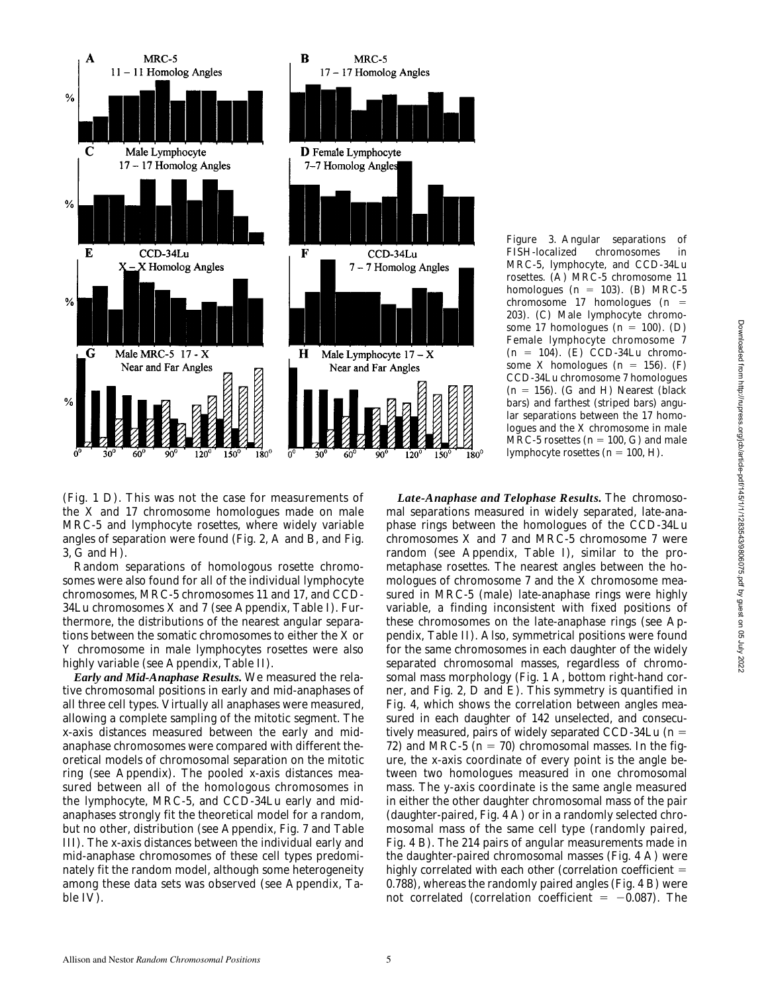

*Figure 3*. Angular separations of FISH-localized chromosomes in MRC-5, lymphocyte, and CCD-34Lu rosettes. (A) MRC-5 chromosome 11 homologues  $(n = 103)$ . (B) MRC-5 chromosome 17 homologues ( $n =$ 203). (C) Male lymphocyte chromosome 17 homologues  $(n = 100)$ . (D) Female lymphocyte chromosome 7  $(n = 104)$ . (E) CCD-34Lu chromosome X homologues  $(n = 156)$ . (F) CCD-34Lu chromosome 7 homologues  $(n = 156)$ . (G and H) Nearest (black bars) and farthest (striped bars) angular separations between the 17 homologues and the X chromosome in male MRC-5 rosettes ( $n = 100$ , G) and male lymphocyte rosettes  $(n = 100, H)$ .

(Fig. 1 D). This was not the case for measurements of the X and 17 chromosome homologues made on male MRC-5 and lymphocyte rosettes, where widely variable angles of separation were found (Fig. 2, A and B, and Fig. 3, G and H).

Random separations of homologous rosette chromosomes were also found for all of the individual lymphocyte chromosomes, MRC-5 chromosomes 11 and 17, and CCD-34Lu chromosomes X and 7 (see Appendix, Table I). Furthermore, the distributions of the nearest angular separations between the somatic chromosomes to either the X or Y chromosome in male lymphocytes rosettes were also highly variable (see Appendix, Table II).

*Early and Mid-Anaphase Results.* We measured the relative chromosomal positions in early and mid-anaphases of all three cell types. Virtually all anaphases were measured, allowing a complete sampling of the mitotic segment. The x-axis distances measured between the early and midanaphase chromosomes were compared with different theoretical models of chromosomal separation on the mitotic ring (see Appendix). The pooled x-axis distances measured between all of the homologous chromosomes in the lymphocyte, MRC-5, and CCD-34Lu early and midanaphases strongly fit the theoretical model for a random, but no other, distribution (see Appendix, Fig. 7 and Table III). The x-axis distances between the individual early and mid-anaphase chromosomes of these cell types predominately fit the random model, although some heterogeneity among these data sets was observed (see Appendix, Table IV).

*Late-Anaphase and Telophase Results.* The chromosomal separations measured in widely separated, late-anaphase rings between the homologues of the CCD-34Lu chromosomes  $X$  and  $7$  and MRC-5 chromosome  $7$  were random (see Appendix, Table I), similar to the prometaphase rosettes. The nearest angles between the homologues of chromosome 7 and the X chromosome measured in MRC-5 (male) late-anaphase rings were highly variable, a finding inconsistent with fixed positions of these chromosomes on the late-anaphase rings (see Appendix, Table II). Also, symmetrical positions were found for the same chromosomes in each daughter of the widely separated chromosomal masses, regardless of chromosomal mass morphology (Fig. 1 A, bottom right-hand corner, and Fig. 2, D and E). This symmetry is quantified in Fig. 4, which shows the correlation between angles measured in each daughter of 142 unselected, and consecutively measured, pairs of widely separated CCD-34Lu  $(n =$ 72) and MRC-5  $(n = 70)$  chromosomal masses. In the figure, the x-axis coordinate of every point is the angle between two homologues measured in one chromosomal mass. The y-axis coordinate is the same angle measured in either the other daughter chromosomal mass of the pair (daughter-paired, Fig. 4 A) or in a randomly selected chromosomal mass of the same cell type (randomly paired, Fig. 4 B). The 214 pairs of angular measurements made in the daughter-paired chromosomal masses (Fig. 4 A) were highly correlated with each other (correlation coefficient  $=$ 0.788), whereas the randomly paired angles (Fig. 4 B) were not correlated (correlation coefficient  $= -0.087$ ). The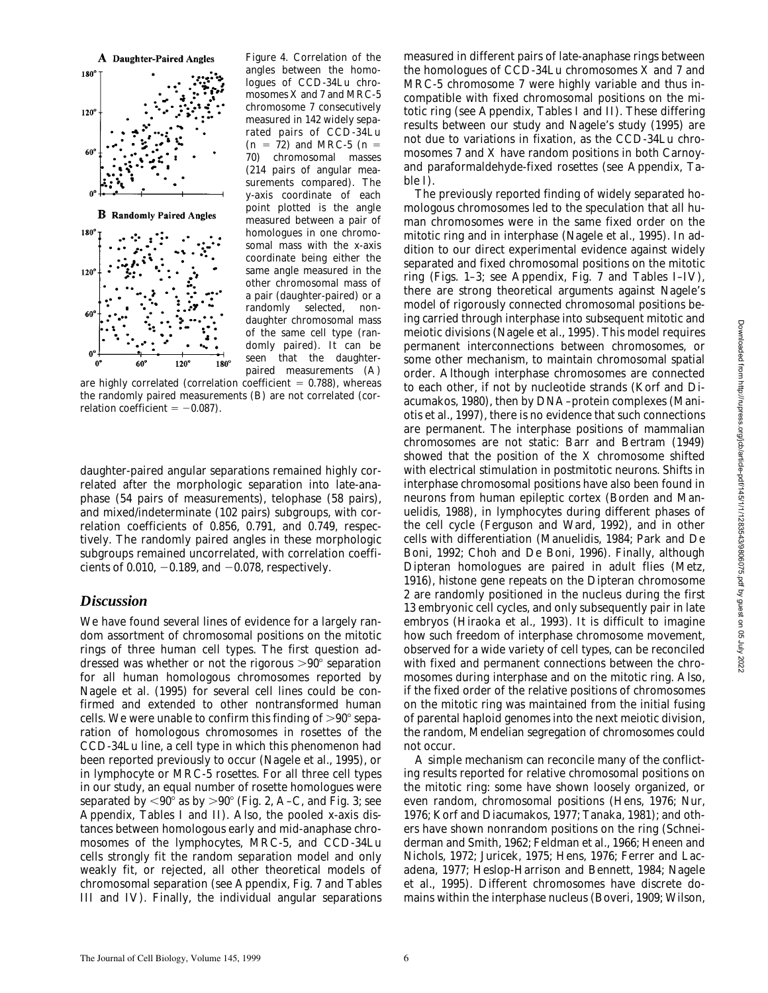

*Figure 4*. Correlation of the angles between the homologues of CCD-34Lu chromosomes X and 7 and MRC-5 chromosome 7 consecutively measured in 142 widely separated pairs of CCD-34Lu  $(n = 72)$  and MRC-5  $(n = 1)$ 70) chromosomal masses (214 pairs of angular measurements compared). The y-axis coordinate of each point plotted is the angle measured between a pair of homologues in one chromosomal mass with the x-axis coordinate being either the same angle measured in the other chromosomal mass of a pair (daughter-paired) or a selected, nondaughter chromosomal mass of the same cell type (randomly paired). It can be seen that the daughterpaired measurements (A)

are highly correlated (correlation coefficient  $= 0.788$ ), whereas the randomly paired measurements (B) are not correlated (correlation coefficient  $= -0.087$ .

daughter-paired angular separations remained highly correlated after the morphologic separation into late-anaphase (54 pairs of measurements), telophase (58 pairs), and mixed/indeterminate (102 pairs) subgroups, with correlation coefficients of 0.856, 0.791, and 0.749, respectively. The randomly paired angles in these morphologic subgroups remained uncorrelated, with correlation coefficients of 0.010,  $-0.189$ , and  $-0.078$ , respectively.

### *Discussion*

We have found several lines of evidence for a largely random assortment of chromosomal positions on the mitotic rings of three human cell types. The first question addressed was whether or not the rigorous  $>90^{\circ}$  separation for all human homologous chromosomes reported by Nagele et al. (1995) for several cell lines could be confirmed and extended to other nontransformed human cells. We were unable to confirm this finding of  $>90^{\circ}$  separation of homologous chromosomes in rosettes of the CCD-34Lu line, a cell type in which this phenomenon had been reported previously to occur (Nagele et al., 1995), or in lymphocyte or MRC-5 rosettes. For all three cell types in our study, an equal number of rosette homologues were separated by  $< 90^{\circ}$  as by  $> 90^{\circ}$  (Fig. 2, A–C, and Fig. 3; see Appendix, Tables I and II). Also, the pooled x-axis distances between homologous early and mid-anaphase chromosomes of the lymphocytes, MRC-5, and CCD-34Lu cells strongly fit the random separation model and only weakly fit, or rejected, all other theoretical models of chromosomal separation (see Appendix, Fig. 7 and Tables III and IV). Finally, the individual angular separations

measured in different pairs of late-anaphase rings between the homologues of CCD-34Lu chromosomes X and 7 and MRC-5 chromosome 7 were highly variable and thus incompatible with fixed chromosomal positions on the mitotic ring (see Appendix, Tables I and II). These differing results between our study and Nagele's study (1995) are not due to variations in fixation, as the CCD-34Lu chromosomes 7 and X have random positions in both Carnoyand paraformaldehyde-fixed rosettes (see Appendix, Table I).

The previously reported finding of widely separated homologous chromosomes led to the speculation that all human chromosomes were in the same fixed order on the mitotic ring and in interphase (Nagele et al., 1995). In addition to our direct experimental evidence against widely separated and fixed chromosomal positions on the mitotic ring (Figs. 1–3; see Appendix, Fig. 7 and Tables I–IV), there are strong theoretical arguments against Nagele's model of rigorously connected chromosomal positions being carried through interphase into subsequent mitotic and meiotic divisions (Nagele et al., 1995). This model requires permanent interconnections between chromosomes, or some other mechanism, to maintain chromosomal spatial order. Although interphase chromosomes are connected to each other, if not by nucleotide strands (Korf and Diacumakos, 1980), then by DNA–protein complexes (Maniotis et al., 1997), there is no evidence that such connections are permanent. The interphase positions of mammalian chromosomes are not static: Barr and Bertram (1949) showed that the position of the X chromosome shifted with electrical stimulation in postmitotic neurons. Shifts in interphase chromosomal positions have also been found in neurons from human epileptic cortex (Borden and Manuelidis, 1988), in lymphocytes during different phases of the cell cycle (Ferguson and Ward, 1992), and in other cells with differentiation (Manuelidis, 1984; Park and De Boni, 1992; Choh and De Boni, 1996). Finally, although Dipteran homologues are paired in adult flies (Metz, 1916), histone gene repeats on the Dipteran chromosome 2 are randomly positioned in the nucleus during the first 13 embryonic cell cycles, and only subsequently pair in late embryos (Hiraoka et al., 1993). It is difficult to imagine how such freedom of interphase chromosome movement, observed for a wide variety of cell types, can be reconciled with fixed and permanent connections between the chromosomes during interphase and on the mitotic ring. Also, if the fixed order of the relative positions of chromosomes on the mitotic ring was maintained from the initial fusing of parental haploid genomes into the next meiotic division, the random, Mendelian segregation of chromosomes could not occur.

A simple mechanism can reconcile many of the conflicting results reported for relative chromosomal positions on the mitotic ring: some have shown loosely organized, or even random, chromosomal positions (Hens, 1976; Nur, 1976; Korf and Diacumakos, 1977; Tanaka, 1981); and others have shown nonrandom positions on the ring (Schneiderman and Smith, 1962; Feldman et al., 1966; Heneen and Nichols, 1972; Juricek, 1975; Hens, 1976; Ferrer and Lacadena, 1977; Heslop-Harrison and Bennett, 1984; Nagele et al., 1995). Different chromosomes have discrete domains within the interphase nucleus (Boveri, 1909; Wilson,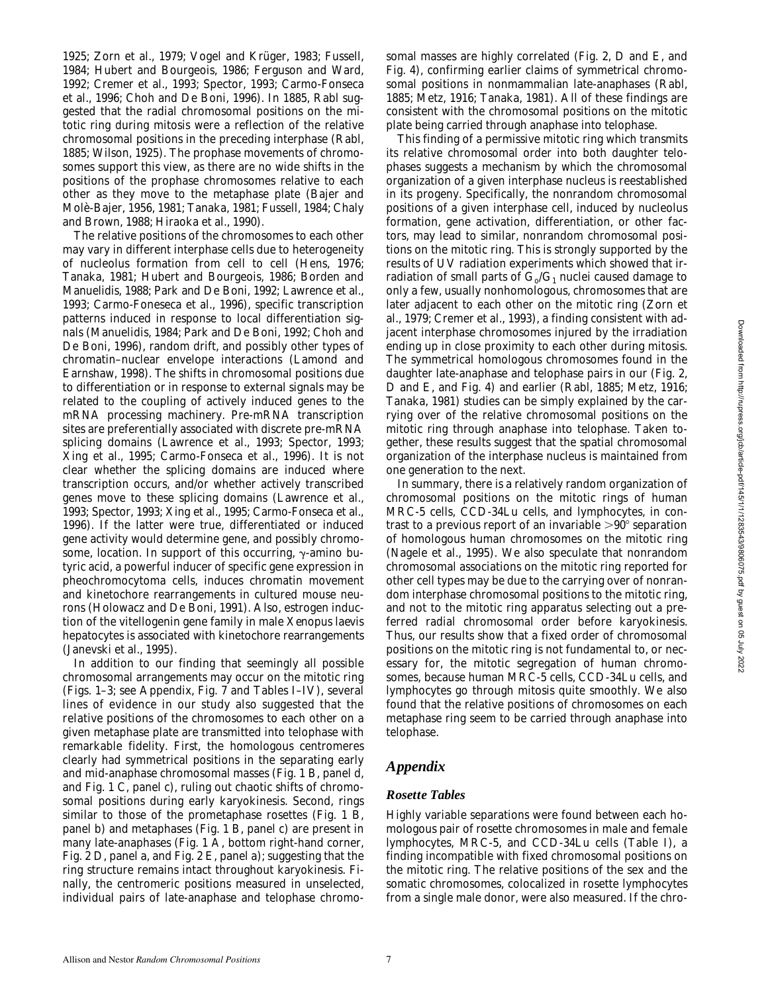1925; Zorn et al., 1979; Vogel and Krüger, 1983; Fussell, 1984; Hubert and Bourgeois, 1986; Ferguson and Ward, 1992; Cremer et al., 1993; Spector, 1993; Carmo-Fonseca et al., 1996; Choh and De Boni, 1996). In 1885, Rabl suggested that the radial chromosomal positions on the mitotic ring during mitosis were a reflection of the relative chromosomal positions in the preceding interphase (Rabl, 1885; Wilson, 1925). The prophase movements of chromosomes support this view, as there are no wide shifts in the positions of the prophase chromosomes relative to each other as they move to the metaphase plate (Bajer and Molè-Bajer, 1956, 1981; Tanaka, 1981; Fussell, 1984; Chaly and Brown, 1988; Hiraoka et al., 1990).

The relative positions of the chromosomes to each other may vary in different interphase cells due to heterogeneity of nucleolus formation from cell to cell (Hens, 1976; Tanaka, 1981; Hubert and Bourgeois, 1986; Borden and Manuelidis, 1988; Park and De Boni, 1992; Lawrence et al., 1993; Carmo-Foneseca et al., 1996), specific transcription patterns induced in response to local differentiation signals (Manuelidis, 1984; Park and De Boni, 1992; Choh and De Boni, 1996), random drift, and possibly other types of chromatin–nuclear envelope interactions (Lamond and Earnshaw, 1998). The shifts in chromosomal positions due to differentiation or in response to external signals may be related to the coupling of actively induced genes to the mRNA processing machinery. Pre-mRNA transcription sites are preferentially associated with discrete pre-mRNA splicing domains (Lawrence et al., 1993; Spector, 1993; Xing et al., 1995; Carmo-Fonseca et al., 1996). It is not clear whether the splicing domains are induced where transcription occurs, and/or whether actively transcribed genes move to these splicing domains (Lawrence et al., 1993; Spector, 1993; Xing et al., 1995; Carmo-Fonseca et al., 1996). If the latter were true, differentiated or induced gene activity would determine gene, and possibly chromosome, location. In support of this occurring,  $\gamma$ -amino butyric acid, a powerful inducer of specific gene expression in pheochromocytoma cells, induces chromatin movement and kinetochore rearrangements in cultured mouse neurons (Holowacz and De Boni, 1991). Also, estrogen induction of the vitellogenin gene family in male *Xenopus laevis* hepatocytes is associated with kinetochore rearrangements (Janevski et al., 1995).

In addition to our finding that seemingly all possible chromosomal arrangements may occur on the mitotic ring (Figs. 1–3; see Appendix, Fig. 7 and Tables I–IV), several lines of evidence in our study also suggested that the relative positions of the chromosomes to each other on a given metaphase plate are transmitted into telophase with remarkable fidelity. First, the homologous centromeres clearly had symmetrical positions in the separating early and mid-anaphase chromosomal masses (Fig. 1 B, panel d, and Fig. 1 C, panel c), ruling out chaotic shifts of chromosomal positions during early karyokinesis. Second, rings similar to those of the prometaphase rosettes (Fig. 1 B, panel b) and metaphases (Fig. 1 B, panel c) are present in many late-anaphases (Fig. 1 A, bottom right-hand corner, Fig. 2 D, panel a, and Fig. 2 E, panel a); suggesting that the ring structure remains intact throughout karyokinesis. Finally, the centromeric positions measured in unselected, individual pairs of late-anaphase and telophase chromosomal masses are highly correlated (Fig. 2, D and E, and Fig. 4), confirming earlier claims of symmetrical chromosomal positions in nonmammalian late-anaphases (Rabl, 1885; Metz, 1916; Tanaka, 1981). All of these findings are consistent with the chromosomal positions on the mitotic plate being carried through anaphase into telophase.

This finding of a permissive mitotic ring which transmits its relative chromosomal order into both daughter telophases suggests a mechanism by which the chromosomal organization of a given interphase nucleus is reestablished in its progeny. Specifically, the nonrandom chromosomal positions of a given interphase cell, induced by nucleolus formation, gene activation, differentiation, or other factors, may lead to similar, nonrandom chromosomal positions on the mitotic ring. This is strongly supported by the results of UV radiation experiments which showed that irradiation of small parts of  $G_0/G_1$  nuclei caused damage to only a few, usually nonhomologous, chromosomes that are later adjacent to each other on the mitotic ring (Zorn et al., 1979; Cremer et al., 1993), a finding consistent with adjacent interphase chromosomes injured by the irradiation ending up in close proximity to each other during mitosis. The symmetrical homologous chromosomes found in the daughter late-anaphase and telophase pairs in our (Fig. 2, D and E, and Fig. 4) and earlier (Rabl, 1885; Metz, 1916; Tanaka, 1981) studies can be simply explained by the carrying over of the relative chromosomal positions on the mitotic ring through anaphase into telophase. Taken together, these results suggest that the spatial chromosomal organization of the interphase nucleus is maintained from one generation to the next.

In summary, there is a relatively random organization of chromosomal positions on the mitotic rings of human MRC-5 cells, CCD-34Lu cells, and lymphocytes, in contrast to a previous report of an invariable  $>90^{\circ}$  separation of homologous human chromosomes on the mitotic ring (Nagele et al., 1995). We also speculate that nonrandom chromosomal associations on the mitotic ring reported for other cell types may be due to the carrying over of nonrandom interphase chromosomal positions to the mitotic ring, and not to the mitotic ring apparatus selecting out a preferred radial chromosomal order before karyokinesis. Thus, our results show that a fixed order of chromosomal positions on the mitotic ring is not fundamental to, or necessary for, the mitotic segregation of human chromosomes, because human MRC-5 cells, CCD-34Lu cells, and lymphocytes go through mitosis quite smoothly. We also found that the relative positions of chromosomes on each metaphase ring seem to be carried through anaphase into telophase.

## *Appendix*

### *Rosette Tables*

Highly variable separations were found between each homologous pair of rosette chromosomes in male and female lymphocytes, MRC-5, and CCD-34Lu cells (Table I), a finding incompatible with fixed chromosomal positions on the mitotic ring. The relative positions of the sex and the somatic chromosomes, colocalized in rosette lymphocytes from a single male donor, were also measured. If the chro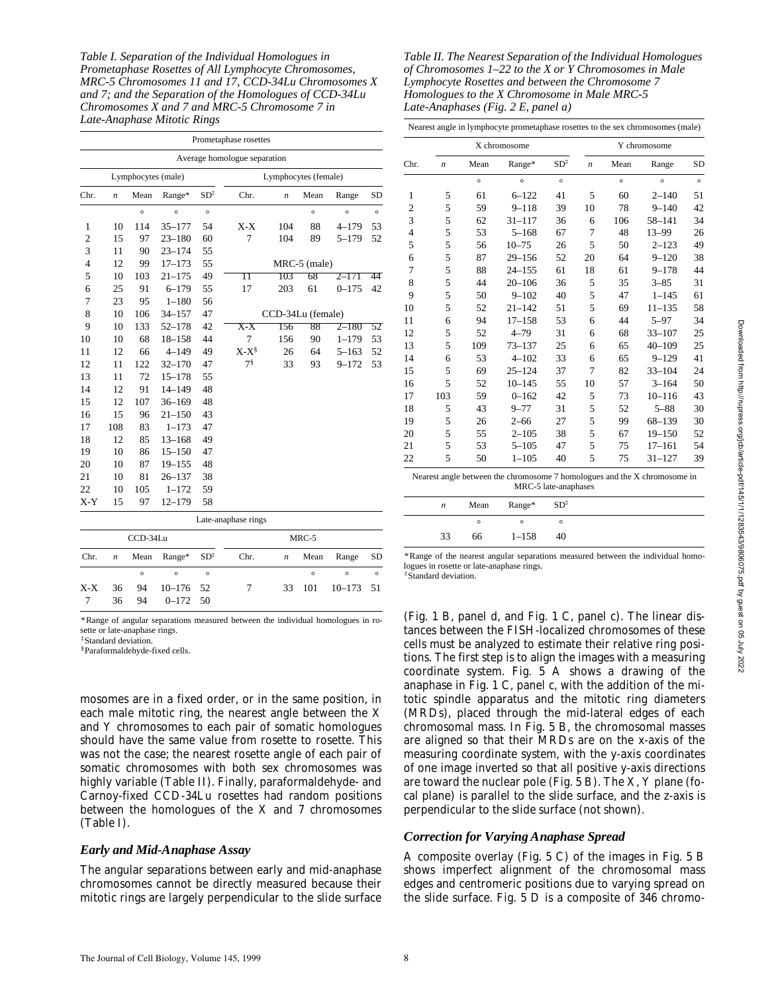*Table I. Separation of the Individual Homologues in Prometaphase Rosettes of All Lymphocyte Chromosomes, MRC-5 Chromosomes 11 and 17, CCD-34Lu Chromosomes X and 7; and the Separation of the Homologues of CCD-34Lu Chromosomes X and 7 and MRC-5 Chromosome 7 in Late-Anaphase Mitotic Rings*

|                |                  |                    |            |                 | Prometaphase rosettes        |                      |              |            |           |
|----------------|------------------|--------------------|------------|-----------------|------------------------------|----------------------|--------------|------------|-----------|
|                |                  |                    |            |                 | Average homologue separation |                      |              |            |           |
|                |                  | Lymphocytes (male) |            |                 |                              | Lymphocytes (female) |              |            |           |
| Chr.           | $\boldsymbol{n}$ | Mean               | Range*     | $SD^{\ddagger}$ | Chr.                         | n                    | Mean         | Range      | <b>SD</b> |
|                |                  | $\circ$            | $\circ$    | $\circ$         |                              |                      | $\circ$      | $\circ$    | $\circ$   |
| 1              | 10               | 114                | $35 - 177$ | 54              | $X-X$                        | 104                  | 88           | $4 - 179$  | 53        |
| $\overline{c}$ | 15               | 97                 | $23 - 180$ | 60              | 7                            | 104                  | 89           | $5 - 179$  | 52        |
| 3              | 11               | 90                 | $23 - 174$ | 55              |                              |                      |              |            |           |
| $\overline{4}$ | 12               | 99                 | $17 - 173$ | 55              |                              |                      | MRC-5 (male) |            |           |
| 5              | 10               | 103                | $21 - 175$ | 49              | П                            | 103                  | 68           | 2–171      | 44        |
| 6              | 25               | 91                 | $6 - 179$  | 55              | 17                           | 203                  | 61           | $0 - 175$  | 42        |
| 7              | 23               | 95                 | $1 - 180$  | 56              |                              |                      |              |            |           |
| 8              | 10               | 106                | $34 - 157$ | 47              |                              | CCD-34Lu (female)    |              |            |           |
| 9              | 10               | 133                | $52 - 178$ | 42              | X-X                          | 156                  | 88           | $2 - 180$  | 52        |
| 10             | 10               | 68                 | $18 - 158$ | 44              | 7                            | 156                  | 90           | $1 - 179$  | 53        |
| 11             | 12               | 66                 | $4 - 149$  | 49              | $X-X^{\S}$                   | 26                   | 64           | $5 - 163$  | 52        |
| 12             | 11               | 122                | $32 - 170$ | 47              | $7^{\frac{8}{3}}$            | 33                   | 93           | $9 - 172$  | 53        |
| 13             | 11               | 72                 | $15 - 178$ | 55              |                              |                      |              |            |           |
| 14             | 12               | 91                 | $14 - 149$ | 48              |                              |                      |              |            |           |
| 15             | 12               | 107                | $36 - 169$ | 48              |                              |                      |              |            |           |
| 16             | 15               | 96                 | $21 - 150$ | 43              |                              |                      |              |            |           |
| 17             | 108              | 83                 | $1 - 173$  | 47              |                              |                      |              |            |           |
| 18             | 12               | 85                 | $13 - 168$ | 49              |                              |                      |              |            |           |
| 19             | 10               | 86                 | $15 - 150$ | 47              |                              |                      |              |            |           |
| 20             | 10               | 87                 | $19 - 155$ | 48              |                              |                      |              |            |           |
| 21             | 10               | 81                 | $26 - 137$ | 38              |                              |                      |              |            |           |
| 22             | 10               | 105                | $1 - 172$  | 59              |                              |                      |              |            |           |
| $X-Y$          | 15               | 97                 | $12 - 179$ | 58              |                              |                      |              |            |           |
|                |                  |                    |            |                 | Late-anaphase rings          |                      |              |            |           |
|                |                  | CCD-34Lu           |            |                 |                              |                      | $MRC-5$      |            |           |
| Chr.           | n                | Mean               | Range*     | $SD^{\ddagger}$ | Chr.                         | $\boldsymbol{n}$     | Mean         | Range      | <b>SD</b> |
|                |                  | $\circ$            | $\circ$    | $\circ$         |                              |                      | $\circ$      | $\circ$    | $\circ$   |
| $X-X$          | 36               | 94                 | $10 - 176$ | 52              | 7                            | 33                   | 101          | $10 - 173$ | 51        |
| 7              | 36               | 94                 | $0 - 172$  | 50              |                              |                      |              |            |           |

*Table II. The Nearest Separation of the Individual Homologues of Chromosomes 1–22 to the X or Y Chromosomes in Male Lymphocyte Rosettes and between the Chromosome 7 Homologues to the X Chromosome in Male MRC-5 Late-Anaphases (Fig. 2 E, panel a)*

|                |     |         | X chromosome                                                                                      |                 |    |         | Y chromosome |         |
|----------------|-----|---------|---------------------------------------------------------------------------------------------------|-----------------|----|---------|--------------|---------|
| Chr.           | n   | Mean    | Range*                                                                                            | $SD^{\ddagger}$ | n  | Mean    | Range        | SD      |
|                |     | $\circ$ | $\circ$                                                                                           | $\circ$         |    | $\circ$ | $\circ$      | $\circ$ |
| 1              | 5   | 61      | $6 - 122$                                                                                         | 41              | 5  | 60      | $2 - 140$    | 51      |
| $\overline{2}$ | 5   | 59      | $9 - 118$                                                                                         | 39              | 10 | 78      | $9 - 140$    | 42      |
| 3              | 5   | 62      | $31 - 117$                                                                                        | 36              | 6  | 106     | 58-141       | 34      |
| $\overline{4}$ | 5   | 53      | $5 - 168$                                                                                         | 67              | 7  | 48      | $13 - 99$    | 26      |
| 5              | 5   | 56      | $10 - 75$                                                                                         | 26              | 5  | 50      | $2 - 123$    | 49      |
| 6              | 5   | 87      | $29 - 156$                                                                                        | 52              | 20 | 64      | $9 - 120$    | 38      |
| 7              | 5   | 88      | $24 - 155$                                                                                        | 61              | 18 | 61      | $9 - 178$    | 44      |
| 8              | 5   | 44      | $20 - 106$                                                                                        | 36              | 5  | 35      | $3 - 85$     | 31      |
| 9              | 5   | 50      | $9 - 102$                                                                                         | 40              | 5  | 47      | $1 - 145$    | 61      |
| 10             | 5   | 52      | $21 - 142$                                                                                        | 51              | 5  | 69      | $11 - 135$   | 58      |
| 11             | 6   | 94      | $17 - 158$                                                                                        | 53              | 6  | 44      | $5 - 97$     | 34      |
| 12             | 5   | 52      | $4 - 79$                                                                                          | 31              | 6  | 68      | $33 - 107$   | 25      |
| 13             | 5   | 109     | $73 - 137$                                                                                        | 25              | 6  | 65      | $40 - 109$   | 25      |
| 14             | 6   | 53      | $4 - 102$                                                                                         | 33              | 6  | 65      | $9 - 129$    | 41      |
| 15             | 5   | 69      | $25 - 124$                                                                                        | 37              | 7  | 82      | $33 - 104$   | 24      |
| 16             | 5   | 52      | $10 - 145$                                                                                        | 55              | 10 | 57      | $3 - 164$    | 50      |
| 17             | 103 | 59      | $0 - 162$                                                                                         | 42              | 5  | 73      | $10 - 116$   | 43      |
| 18             | 5   | 43      | $9 - 77$                                                                                          | 31              | 5  | 52      | $5 - 88$     | 30      |
| 19             | 5   | 26      | $2 - 66$                                                                                          | 27              | 5  | 99      | 68-139       | 30      |
| 20             | 5   | 55      | $2 - 105$                                                                                         | 38              | 5  | 67      | $19 - 150$   | 52      |
| 21             | 5   | 53      | $5 - 105$                                                                                         | 47              | 5  | 75      | $17 - 161$   | 54      |
| 22             | 5   | 50      | $1 - 105$                                                                                         | 40              | 5  | 75      | $31 - 127$   | 39      |
|                |     |         | Nearest angle between the chromosome 7 homologues and the X chromosome in<br>MRC-5 late-anaphases |                 |    |         |              |         |
|                | n   | Mean    | Range*                                                                                            | $SD^{\ddagger}$ |    |         |              |         |
|                |     | $\circ$ | $\circ$                                                                                           | $\circ$         |    |         |              |         |
|                | 33  | 66      | $1 - 158$                                                                                         | 40              |    |         |              |         |

\*Range of the nearest angular separations measured between the individual homologues in rosette or late-anaphase rings.

‡Standard deviation.

(Fig. 1 B, panel d, and Fig. 1 C, panel c). The linear distances between the FISH-localized chromosomes of these cells must be analyzed to estimate their relative ring positions. The first step is to align the images with a measuring coordinate system. Fig. 5 A shows a drawing of the anaphase in Fig. 1 C, panel c, with the addition of the mitotic spindle apparatus and the mitotic ring diameters (MRDs), placed through the mid-lateral edges of each chromosomal mass. In Fig. 5 B, the chromosomal masses are aligned so that their MRDs are on the x-axis of the measuring coordinate system, with the y-axis coordinates of one image inverted so that all positive y-axis directions are toward the nuclear pole (Fig. 5 B). The X, Y plane (focal plane) is parallel to the slide surface, and the z-axis is perpendicular to the slide surface (not shown).

### *Correction for Varying Anaphase Spread*

A composite overlay (Fig. 5 C) of the images in Fig. 5 B shows imperfect alignment of the chromosomal mass edges and centromeric positions due to varying spread on the slide surface. Fig. 5 D is a composite of 346 chromo-

\*Range of angular separations measured between the individual homologues in rosette or late-anaphase rings.

‡Standard deviation.

§Paraformaldehyde-fixed cells.

mosomes are in a fixed order, or in the same position, in each male mitotic ring, the nearest angle between the X and Y chromosomes to each pair of somatic homologues should have the same value from rosette to rosette. This was not the case; the nearest rosette angle of each pair of somatic chromosomes with both sex chromosomes was highly variable (Table II). Finally, paraformaldehyde- and Carnoy-fixed CCD-34Lu rosettes had random positions between the homologues of the X and 7 chromosomes (Table I).

### *Early and Mid-Anaphase Assay*

The angular separations between early and mid-anaphase chromosomes cannot be directly measured because their mitotic rings are largely perpendicular to the slide surface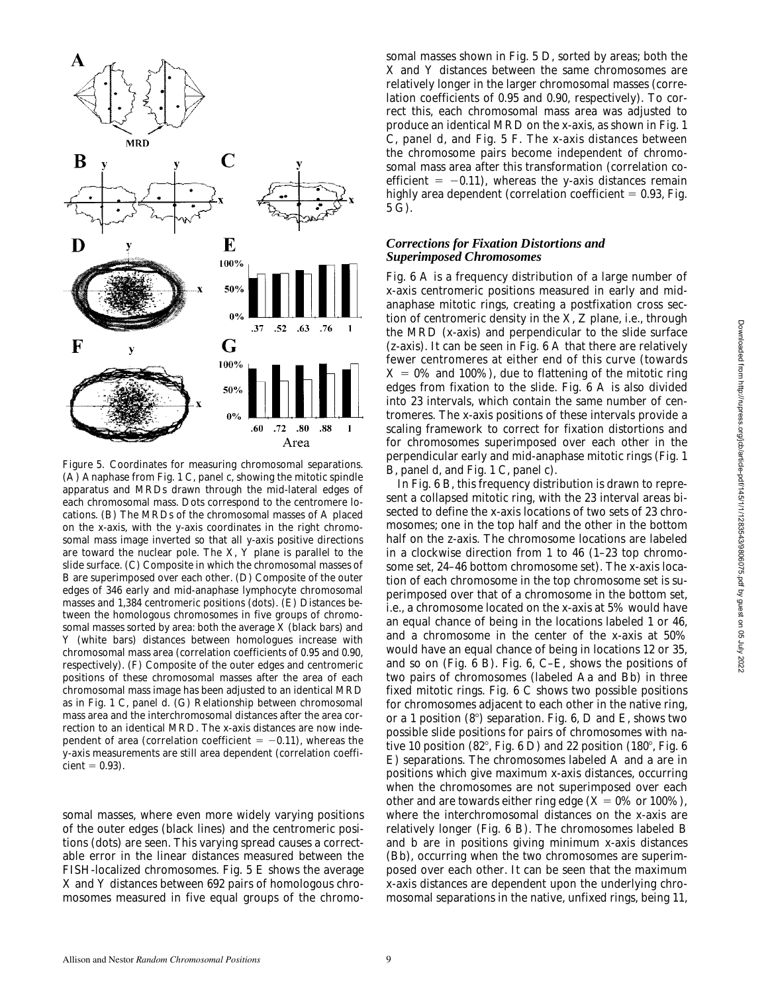

*Figure 5*. Coordinates for measuring chromosomal separations. (A) Anaphase from Fig. 1 C, panel c, showing the mitotic spindle apparatus and MRDs drawn through the mid-lateral edges of each chromosomal mass. Dots correspond to the centromere locations. (B) The MRDs of the chromosomal masses of A placed on the x-axis, with the y-axis coordinates in the right chromosomal mass image inverted so that all y-axis positive directions are toward the nuclear pole. The X, Y plane is parallel to the slide surface. (C) Composite in which the chromosomal masses of B are superimposed over each other. (D) Composite of the outer edges of 346 early and mid-anaphase lymphocyte chromosomal masses and 1,384 centromeric positions (dots). (E) Distances between the homologous chromosomes in five groups of chromosomal masses sorted by area: both the average X (black bars) and Y (white bars) distances between homologues increase with chromosomal mass area (correlation coefficients of 0.95 and 0.90, respectively). (F) Composite of the outer edges and centromeric positions of these chromosomal masses after the area of each chromosomal mass image has been adjusted to an identical MRD as in Fig. 1 C, panel d. (G) Relationship between chromosomal mass area and the interchromosomal distances after the area correction to an identical MRD. The x-axis distances are now independent of area (correlation coefficient  $= -0.11$ ), whereas the y-axis measurements are still area dependent (correlation coeffi- $\text{cient} = 0.93$ ).

somal masses, where even more widely varying positions of the outer edges (black lines) and the centromeric positions (dots) are seen. This varying spread causes a correctable error in the linear distances measured between the FISH-localized chromosomes. Fig. 5 E shows the average X and Y distances between 692 pairs of homologous chromosomes measured in five equal groups of the chromosomal masses shown in Fig. 5 D, sorted by areas; both the X and Y distances between the same chromosomes are relatively longer in the larger chromosomal masses (correlation coefficients of 0.95 and 0.90, respectively). To correct this, each chromosomal mass area was adjusted to produce an identical MRD on the x-axis, as shown in Fig. 1 C, panel d, and Fig. 5 F. The x-axis distances between the chromosome pairs become independent of chromosomal mass area after this transformation (correlation coefficient  $= -0.11$ ), whereas the y-axis distances remain highly area dependent (correlation coefficient  $= 0.93$ , Fig. 5 G).

### *Corrections for Fixation Distortions and Superimposed Chromosomes*

Fig. 6 A is a frequency distribution of a large number of x-axis centromeric positions measured in early and midanaphase mitotic rings, creating a postfixation cross section of centromeric density in the X, Z plane, i.e., through the MRD (x-axis) and perpendicular to the slide surface (z-axis). It can be seen in Fig. 6 A that there are relatively fewer centromeres at either end of this curve (towards  $X = 0\%$  and 100%), due to flattening of the mitotic ring edges from fixation to the slide. Fig. 6 A is also divided into 23 intervals, which contain the same number of centromeres. The x-axis positions of these intervals provide a scaling framework to correct for fixation distortions and for chromosomes superimposed over each other in the perpendicular early and mid-anaphase mitotic rings (Fig. 1 B, panel d, and Fig. 1 C, panel c).

In Fig. 6 B, this frequency distribution is drawn to represent a collapsed mitotic ring, with the 23 interval areas bisected to define the x-axis locations of two sets of 23 chromosomes; one in the top half and the other in the bottom half on the z-axis. The chromosome locations are labeled in a clockwise direction from 1 to 46 (1–23 top chromosome set, 24–46 bottom chromosome set). The x-axis location of each chromosome in the top chromosome set is superimposed over that of a chromosome in the bottom set, i.e., a chromosome located on the x-axis at 5% would have an equal chance of being in the locations labeled 1 or 46, and a chromosome in the center of the x-axis at 50% would have an equal chance of being in locations 12 or 35, and so on (Fig. 6 B). Fig. 6, C–E, shows the positions of two pairs of chromosomes (labeled Aa and Bb) in three fixed mitotic rings. Fig. 6 C shows two possible positions for chromosomes adjacent to each other in the native ring, or a 1 position  $(8^{\circ})$  separation. Fig. 6, D and E, shows two possible slide positions for pairs of chromosomes with native 10 position (82 $^{\circ}$ , Fig. 6 D) and 22 position (180 $^{\circ}$ , Fig. 6 E) separations. The chromosomes labeled A and a are in positions which give maximum x-axis distances, occurring when the chromosomes are not superimposed over each other and are towards either ring edge  $(X = 0\% \text{ or } 100\%),$ where the interchromosomal distances on the x-axis are relatively longer (Fig. 6 B). The chromosomes labeled B and b are in positions giving minimum x-axis distances (Bb), occurring when the two chromosomes are superimposed over each other. It can be seen that the maximum x-axis distances are dependent upon the underlying chromosomal separations in the native, unfixed rings, being 11,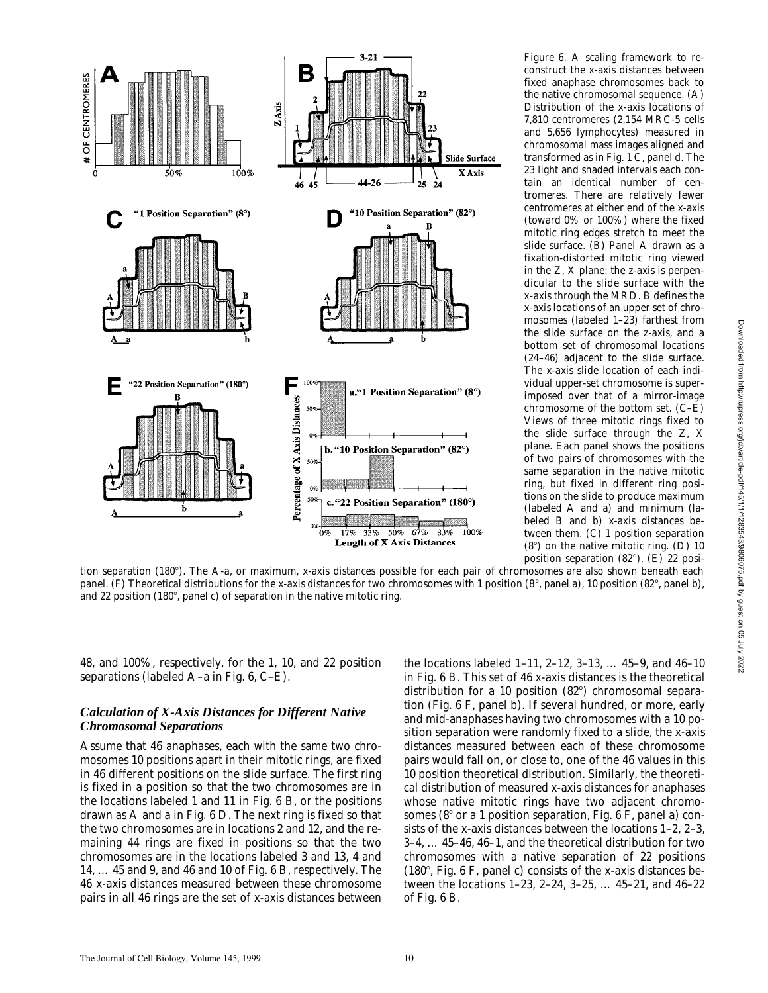

*Figure 6.* A scaling framework to reconstruct the x-axis distances between fixed anaphase chromosomes back to the native chromosomal sequence. (A) Distribution of the x-axis locations of 7,810 centromeres (2,154 MRC-5 cells and 5,656 lymphocytes) measured in chromosomal mass images aligned and transformed as in Fig. 1 C, panel d. The 23 light and shaded intervals each contain an identical number of centromeres. There are relatively fewer centromeres at either end of the x-axis (toward 0% or 100%) where the fixed mitotic ring edges stretch to meet the slide surface. (B) Panel A drawn as a fixation-distorted mitotic ring viewed in the Z, X plane: the z-axis is perpendicular to the slide surface with the x-axis through the MRD. B defines the x-axis locations of an upper set of chromosomes (labeled 1–23) farthest from the slide surface on the z-axis, and a bottom set of chromosomal locations (24–46) adjacent to the slide surface. The x-axis slide location of each individual upper-set chromosome is superimposed over that of a mirror-image chromosome of the bottom set. (C–E) Views of three mitotic rings fixed to the slide surface through the Z, X plane. Each panel shows the positions of two pairs of chromosomes with the same separation in the native mitotic ring, but fixed in different ring positions on the slide to produce maximum (labeled A and a) and minimum (labeled B and b) x-axis distances between them. (C) 1 position separation  $(8^\circ)$  on the native mitotic ring. (D) 10 position separation  $(82^{\circ})$ . (E) 22 posi-

tion separation (180°). The A-a, or maximum, x-axis distances possible for each pair of chromosomes are also shown beneath each panel. (F) Theoretical distributions for the x-axis distances for two chromosomes with 1 position (8°, panel a), 10 position (82°, panel b), and 22 position (180 $^{\circ}$ , panel c) of separation in the native mitotic ring.

48, and 100%, respectively, for the 1, 10, and 22 position separations (labeled A–a in Fig. 6, C–E).

### *Calculation of X-Axis Distances for Different Native Chromosomal Separations*

Assume that 46 anaphases, each with the same two chromosomes 10 positions apart in their mitotic rings, are fixed in 46 different positions on the slide surface. The first ring is fixed in a position so that the two chromosomes are in the locations labeled 1 and 11 in Fig. 6 B, or the positions drawn as A and a in Fig. 6 D. The next ring is fixed so that the two chromosomes are in locations 2 and 12, and the remaining 44 rings are fixed in positions so that the two chromosomes are in the locations labeled 3 and 13, 4 and 14, … 45 and 9, and 46 and 10 of Fig. 6 B, respectively. The 46 x-axis distances measured between these chromosome pairs in all 46 rings are the set of x-axis distances between

the locations labeled 1–11, 2–12, 3–13, … 45–9, and 46–10 in Fig. 6 B. This set of 46 x-axis distances is the theoretical distribution for a 10 position  $(82^{\circ})$  chromosomal separation (Fig. 6 F, panel b). If several hundred, or more, early and mid-anaphases having two chromosomes with a 10 position separation were randomly fixed to a slide, the x-axis distances measured between each of these chromosome pairs would fall on, or close to, one of the 46 values in this 10 position theoretical distribution. Similarly, the theoretical distribution of measured x-axis distances for anaphases whose native mitotic rings have two adjacent chromosomes ( $8^\circ$  or a 1 position separation, Fig. 6 F, panel a) consists of the x-axis distances between the locations 1–2, 2–3, 3–4, … 45–46, 46–1, and the theoretical distribution for two chromosomes with a native separation of 22 positions  $(180^{\circ},$  Fig. 6 F, panel c) consists of the x-axis distances between the locations 1–23, 2–24, 3–25, … 45–21, and 46–22 of Fig. 6 B.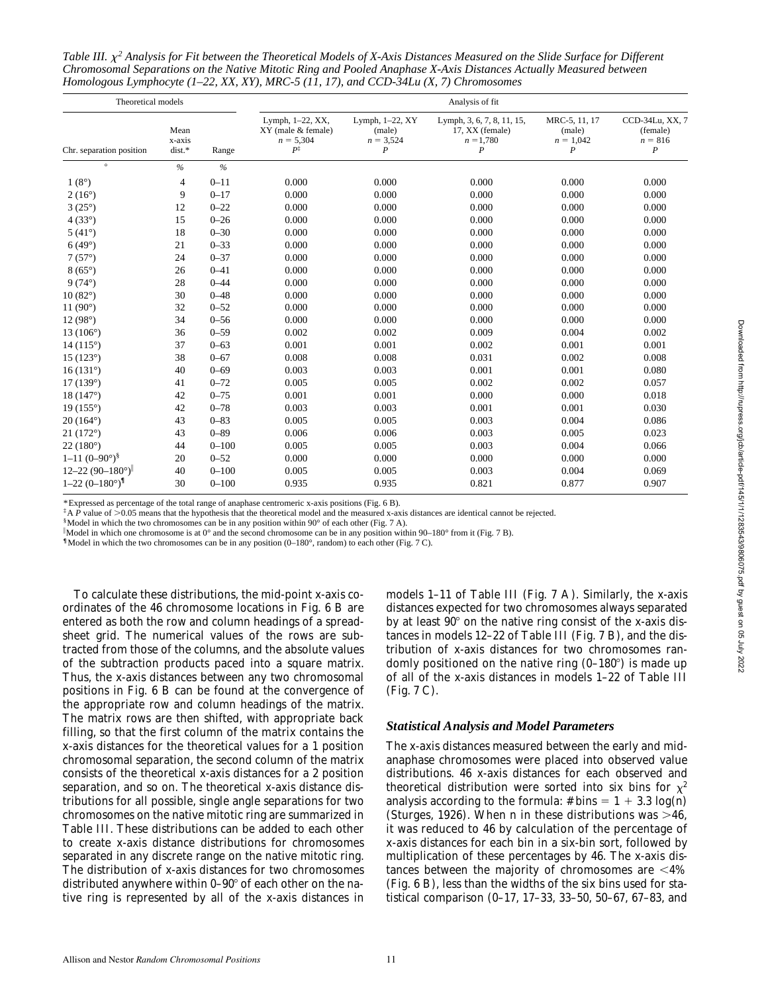Table III.  $\chi^2$  Analysis for Fit between the Theoretical Models of X-Axis Distances Measured on the Slide Surface for Different *Chromosomal Separations on the Native Mitotic Ring and Pooled Anaphase X-Axis Distances Actually Measured between Homologous Lymphocyte (1–22, XX, XY), MRC-5 (11, 17), and CCD-34Lu (X, 7) Chromosomes*

| Theoretical models        |                          |           |                                                                |                                                    | Analysis of fit                                                                  |                                                            |                                                              |
|---------------------------|--------------------------|-----------|----------------------------------------------------------------|----------------------------------------------------|----------------------------------------------------------------------------------|------------------------------------------------------------|--------------------------------------------------------------|
| Chr. separation position  | Mean<br>x-axis<br>dist.* | Range     | Lymph, 1-22, XX,<br>XY (male & female)<br>$n = 5,304$<br>$P^*$ | Lymph, $1-22$ , $XY$<br>(male)<br>$n = 3,524$<br>P | Lymph, 3, 6, 7, 8, 11, 15,<br>17, XX (female)<br>$n = 1,780$<br>$\boldsymbol{P}$ | MRC-5, 11, 17<br>(male)<br>$n = 1,042$<br>$\boldsymbol{P}$ | CCD-34Lu, XX, 7<br>(female)<br>$n = 816$<br>$\boldsymbol{P}$ |
| $\circ$                   | $\frac{9}{6}$            | $\%$      |                                                                |                                                    |                                                                                  |                                                            |                                                              |
| $1(8^\circ)$              | 4                        | $0 - 11$  | 0.000                                                          | 0.000                                              | 0.000                                                                            | 0.000                                                      | 0.000                                                        |
| $2(16^{\circ})$           | 9                        | $0 - 17$  | 0.000                                                          | 0.000                                              | 0.000                                                                            | 0.000                                                      | 0.000                                                        |
| $3(25^{\circ})$           | 12                       | $0 - 22$  | 0.000                                                          | 0.000                                              | 0.000                                                                            | 0.000                                                      | 0.000                                                        |
| 4(33°)                    | 15                       | $0 - 26$  | 0.000                                                          | 0.000                                              | 0.000                                                                            | 0.000                                                      | 0.000                                                        |
| 5 $(41^{\circ})$          | 18                       | $0 - 30$  | 0.000                                                          | 0.000                                              | 0.000                                                                            | 0.000                                                      | 0.000                                                        |
| 6(49°)                    | 21                       | $0 - 33$  | 0.000                                                          | 0.000                                              | 0.000                                                                            | 0.000                                                      | 0.000                                                        |
| 7(57°)                    | 24                       | $0 - 37$  | 0.000                                                          | 0.000                                              | 0.000                                                                            | 0.000                                                      | 0.000                                                        |
| $8(65^{\circ})$           | 26                       | $0 - 41$  | 0.000                                                          | 0.000                                              | 0.000                                                                            | 0.000                                                      | 0.000                                                        |
| $9(74^{\circ})$           | 28                       | $0 - 44$  | 0.000                                                          | 0.000                                              | 0.000                                                                            | 0.000                                                      | 0.000                                                        |
| $10(82^{\circ})$          | 30                       | $0 - 48$  | 0.000                                                          | 0.000                                              | 0.000                                                                            | 0.000                                                      | 0.000                                                        |
| 11 $(90^{\circ})$         | 32                       | $0 - 52$  | 0.000                                                          | 0.000                                              | 0.000                                                                            | 0.000                                                      | 0.000                                                        |
| 12(98°)                   | 34                       | $0 - 56$  | 0.000                                                          | 0.000                                              | 0.000                                                                            | 0.000                                                      | 0.000                                                        |
| 13 $(106^{\circ})$        | 36                       | $0 - 59$  | 0.002                                                          | 0.002                                              | 0.009                                                                            | 0.004                                                      | 0.002                                                        |
| $14(115^{\circ})$         | 37                       | $0 - 63$  | 0.001                                                          | 0.001                                              | 0.002                                                                            | 0.001                                                      | 0.001                                                        |
| 15(123°)                  | 38                       | $0 - 67$  | 0.008                                                          | 0.008                                              | 0.031                                                                            | 0.002                                                      | 0.008                                                        |
| 16(131°)                  | 40                       | $0 - 69$  | 0.003                                                          | 0.003                                              | 0.001                                                                            | 0.001                                                      | 0.080                                                        |
| 17(139°)                  | 41                       | $0 - 72$  | 0.005                                                          | 0.005                                              | 0.002                                                                            | 0.002                                                      | 0.057                                                        |
| 18(147°)                  | 42                       | $0 - 75$  | 0.001                                                          | 0.001                                              | 0.000                                                                            | 0.000                                                      | 0.018                                                        |
| $19(155^{\circ})$         | 42                       | $0 - 78$  | 0.003                                                          | 0.003                                              | 0.001                                                                            | 0.001                                                      | 0.030                                                        |
| $20(164^{\circ})$         | 43                       | $0 - 83$  | 0.005                                                          | 0.005                                              | 0.003                                                                            | 0.004                                                      | 0.086                                                        |
| 21(172°)                  | 43                       | $0 - 89$  | 0.006                                                          | 0.006                                              | 0.003                                                                            | 0.005                                                      | 0.023                                                        |
| $22(180^{\circ})$         | 44                       | $0 - 100$ | 0.005                                                          | 0.005                                              | 0.003                                                                            | 0.004                                                      | 0.066                                                        |
| $1-11(0-90°)^{8}$         | 20                       | $0 - 52$  | 0.000                                                          | 0.000                                              | 0.000                                                                            | 0.000                                                      | 0.000                                                        |
| $12 - 22(90 - 180^\circ)$ | 40                       | $0 - 100$ | 0.005                                                          | 0.005                                              | 0.003                                                                            | 0.004                                                      | 0.069                                                        |
| $1-22(0-180^{\circ})$     | 30                       | $0 - 100$ | 0.935                                                          | 0.935                                              | 0.821                                                                            | 0.877                                                      | 0.907                                                        |

\*Expressed as percentage of the total range of anaphase centromeric x-axis positions (Fig. 6 B).

 $\uparrow$  A *P* value of  $>0.05$  means that the hypothesis that the theoretical model and the measured x-axis distances are identical cannot be rejected.

 $$$ Model in which the two chromosomes can be in any position within 90 $^{\circ}$  of each other (Fig. 7 A).

Model in which one chromosome is at  $0^{\circ}$  and the second chromosome can be in any position within 90–180 $^{\circ}$  from it (Fig. 7 B).

**¶**Model in which the two chromosomes can be in any position (0–180°, random) to each other (Fig. 7 C).

To calculate these distributions, the mid-point x-axis coordinates of the 46 chromosome locations in Fig. 6 B are entered as both the row and column headings of a spreadsheet grid. The numerical values of the rows are subtracted from those of the columns, and the absolute values of the subtraction products paced into a square matrix. Thus, the x-axis distances between any two chromosomal positions in Fig. 6 B can be found at the convergence of the appropriate row and column headings of the matrix. The matrix rows are then shifted, with appropriate back filling, so that the first column of the matrix contains the x-axis distances for the theoretical values for a 1 position chromosomal separation, the second column of the matrix consists of the theoretical x-axis distances for a 2 position separation, and so on. The theoretical x-axis distance distributions for all possible, single angle separations for two chromosomes on the native mitotic ring are summarized in Table III. These distributions can be added to each other to create x-axis distance distributions for chromosomes separated in any discrete range on the native mitotic ring. The distribution of x-axis distances for two chromosomes distributed anywhere within  $0-90^\circ$  of each other on the native ring is represented by all of the x-axis distances in models 1–11 of Table III (Fig. 7 A). Similarly, the x-axis distances expected for two chromosomes always separated by at least  $90^\circ$  on the native ring consist of the x-axis distances in models 12–22 of Table III (Fig. 7 B), and the distribution of x-axis distances for two chromosomes randomly positioned on the native ring  $(0-180^\circ)$  is made up of all of the x-axis distances in models 1–22 of Table III (Fig. 7 C).

#### *Statistical Analysis and Model Parameters*

The x-axis distances measured between the early and midanaphase chromosomes were placed into observed value distributions. 46 x-axis distances for each observed and theoretical distribution were sorted into six bins for  $\chi^2$ analysis according to the formula:  $\# bins = 1 + 3.3 log(n)$ (Sturges, 1926). When *n* in these distributions was  $>46$ , it was reduced to 46 by calculation of the percentage of x-axis distances for each bin in a six-bin sort, followed by multiplication of these percentages by 46. The x-axis distances between the majority of chromosomes are  $\leq 4\%$ (Fig. 6 B), less than the widths of the six bins used for statistical comparison (0–17, 17–33, 33–50, 50–67, 67–83, and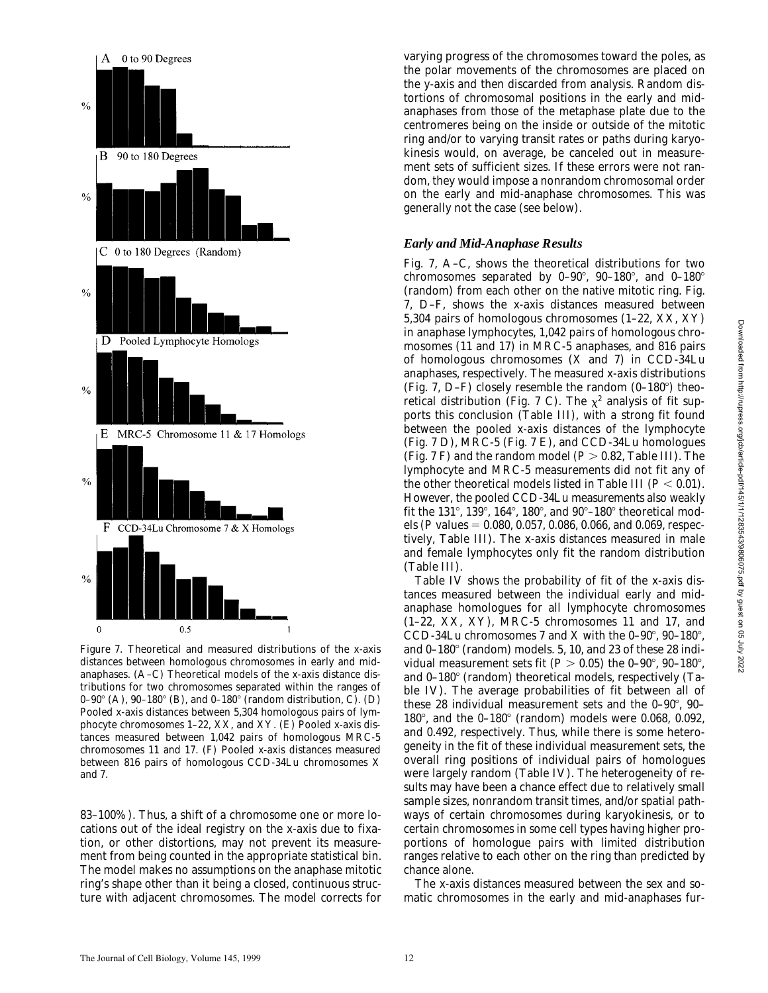

*Figure 7*. Theoretical and measured distributions of the x-axis distances between homologous chromosomes in early and midanaphases. (A–C) Theoretical models of the x-axis distance distributions for two chromosomes separated within the ranges of 0–90° (A), 90–180° (B), and 0–180° (random distribution, C). (D) Pooled x-axis distances between 5,304 homologous pairs of lymphocyte chromosomes 1–22, XX, and XY. (E) Pooled x-axis distances measured between 1,042 pairs of homologous MRC-5 chromosomes 11 and 17. (F) Pooled x-axis distances measured between 816 pairs of homologous CCD-34Lu chromosomes X and 7.

83–100%). Thus, a shift of a chromosome one or more locations out of the ideal registry on the x-axis due to fixation, or other distortions, may not prevent its measurement from being counted in the appropriate statistical bin. The model makes no assumptions on the anaphase mitotic ring's shape other than it being a closed, continuous structure with adjacent chromosomes. The model corrects for varying progress of the chromosomes toward the poles, as the polar movements of the chromosomes are placed on the y-axis and then discarded from analysis. Random distortions of chromosomal positions in the early and midanaphases from those of the metaphase plate due to the centromeres being on the inside or outside of the mitotic ring and/or to varying transit rates or paths during karyokinesis would, on average, be canceled out in measurement sets of sufficient sizes. If these errors were not random, they would impose a nonrandom chromosomal order on the early and mid-anaphase chromosomes. This was generally not the case (see below).

#### *Early and Mid-Anaphase Results*

Fig. 7, A–C, shows the theoretical distributions for two chromosomes separated by  $0-90^{\circ}$ ,  $90-180^{\circ}$ , and  $0-180^{\circ}$ (random) from each other on the native mitotic ring. Fig. 7, D–F, shows the x-axis distances measured between 5,304 pairs of homologous chromosomes (1–22, XX, XY) in anaphase lymphocytes, 1,042 pairs of homologous chromosomes (11 and 17) in MRC-5 anaphases, and 816 pairs of homologous chromosomes (X and 7) in CCD-34Lu anaphases, respectively. The measured x-axis distributions (Fig. 7, D–F) closely resemble the random  $(0-180^{\circ})$  theoretical distribution (Fig. 7 C). The  $\chi^2$  analysis of fit supports this conclusion (Table III), with a strong fit found between the pooled x-axis distances of the lymphocyte (Fig. 7 D), MRC-5 (Fig. 7 E), and CCD-34Lu homologues (Fig.  $7$  F) and the random model ( $P > 0.82$ , Table III). The lymphocyte and MRC-5 measurements did not fit any of the other theoretical models listed in Table III  $(P < 0.01)$ . However, the pooled CCD-34Lu measurements also weakly fit the 131 $^{\circ}$ , 139 $^{\circ}$ , 164 $^{\circ}$ , 180 $^{\circ}$ , and 90 $^{\circ}$ –180 $^{\circ}$  theoretical models (*P* values  $= 0.080, 0.057, 0.086, 0.066,$  and 0.069, respectively, Table III). The x-axis distances measured in male and female lymphocytes only fit the random distribution (Table III).

Table IV shows the probability of fit of the x-axis distances measured between the individual early and midanaphase homologues for all lymphocyte chromosomes (1–22, XX, XY), MRC-5 chromosomes 11 and 17, and CCD-34Lu chromosomes 7 and X with the  $0-90^\circ$ ,  $90-180^\circ$ , and  $0-180^\circ$  (random) models. 5, 10, and 23 of these 28 individual measurement sets fit ( $P > 0.05$ ) the 0–90°, 90–180°, and  $0-180^\circ$  (random) theoretical models, respectively (Table IV). The average probabilities of fit between all of these 28 individual measurement sets and the  $0-90^{\circ}$ ,  $90-$ 180 $^{\circ}$ , and the 0-180 $^{\circ}$  (random) models were 0.068, 0.092, and 0.492, respectively. Thus, while there is some heterogeneity in the fit of these individual measurement sets, the overall ring positions of individual pairs of homologues were largely random (Table IV). The heterogeneity of results may have been a chance effect due to relatively small sample sizes, nonrandom transit times, and/or spatial pathways of certain chromosomes during karyokinesis, or to certain chromosomes in some cell types having higher proportions of homologue pairs with limited distribution ranges relative to each other on the ring than predicted by chance alone.

The x-axis distances measured between the sex and somatic chromosomes in the early and mid-anaphases fur-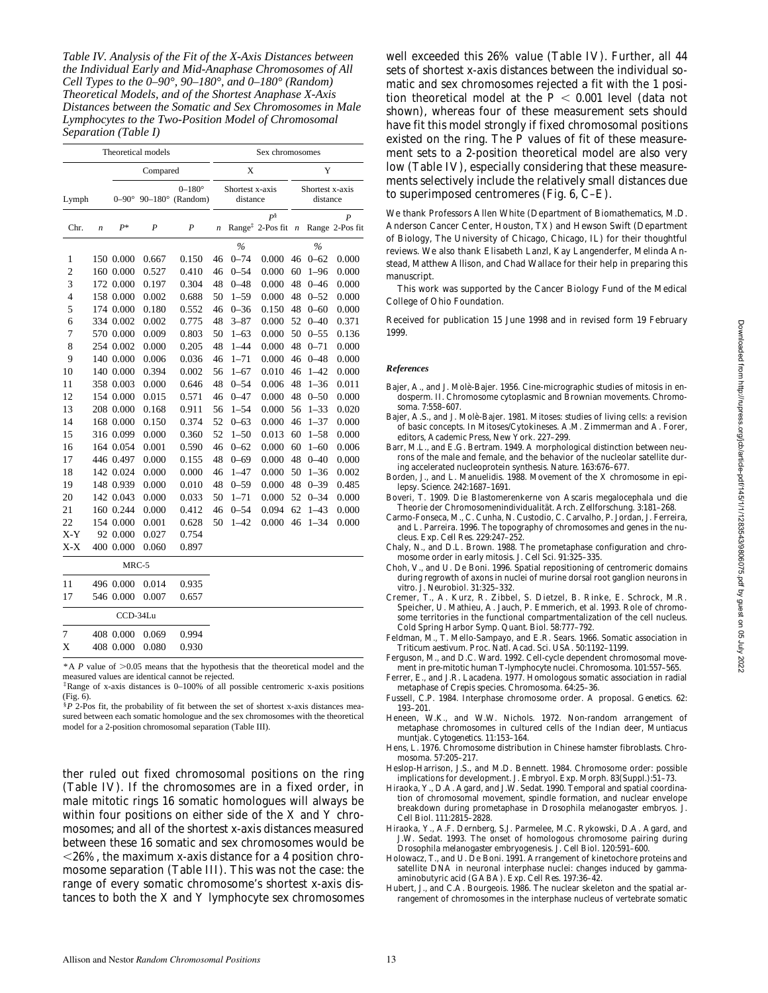*Table IV. Analysis of the Fit of the X-Axis Distances between the Individual Early and Mid-Anaphase Chromosomes of All Cell Types to the 0–90°, 90–180°, and 0–180° (Random) Theoretical Models, and of the Shortest Anaphase X-Axis Distances between the Somatic and Sex Chromosomes in Male Lymphocytes to the Two-Position Model of Chromosomal Separation (Table I)*

|                |                  |              | Theoretical models |                                       |    |                             | Sex chromosomes                          |                  |                             |                                     |
|----------------|------------------|--------------|--------------------|---------------------------------------|----|-----------------------------|------------------------------------------|------------------|-----------------------------|-------------------------------------|
|                |                  |              | Compared           |                                       |    | X                           |                                          |                  | Y                           |                                     |
| Lymph          |                  | $0-90^\circ$ |                    | $0 - 180^{\circ}$<br>90-180° (Random) |    | Shortest x-axis<br>distance |                                          |                  | Shortest x-axis<br>distance |                                     |
| Chr.           | $\boldsymbol{n}$ | $P^*$        | P                  | $\boldsymbol{P}$                      | n  |                             | $P^{\S}$<br>Range <sup>‡</sup> 2-Pos fit | $\boldsymbol{n}$ |                             | $\boldsymbol{P}$<br>Range 2-Pos fit |
|                |                  |              |                    |                                       |    | $\frac{0}{0}$               |                                          |                  | $\%$                        |                                     |
| 1              |                  | 150 0.000    | 0.667              | 0.150                                 | 46 | $0 - 74$                    | 0.000                                    | 46               | $0 - 62$                    | 0.000                               |
| $\overline{c}$ |                  | 160 0.000    | 0.527              | 0.410                                 | 46 | $0 - 54$                    | 0.000                                    | 60               | $1 - 96$                    | 0.000                               |
| 3              |                  | 172 0.000    | 0.197              | 0.304                                 | 48 | $0 - 48$                    | 0.000                                    | 48               | $0 - 46$                    | 0.000                               |
| $\overline{4}$ |                  | 158 0.000    | 0.002              | 0.688                                 | 50 | $1 - 59$                    | 0.000                                    | 48               | $0 - 52$                    | 0.000                               |
| 5              |                  | 174 0.000    | 0.180              | 0.552                                 | 46 | $0 - 36$                    | 0.150                                    | 48               | $0 - 60$                    | 0.000                               |
| 6              |                  | 334 0.002    | 0.002              | 0.775                                 | 48 | $3 - 87$                    | 0.000                                    | 52               | $0 - 40$                    | 0.371                               |
| 7              |                  | 570 0.000    | 0.009              | 0.803                                 | 50 | $1 - 63$                    | 0.000                                    | 50               | $0 - 55$                    | 0.136                               |
| 8              |                  | 254 0.002    | 0.000              | 0.205                                 | 48 | $1 - 44$                    | 0.000                                    | 48               | $0 - 71$                    | 0.000                               |
| 9              |                  | 140 0.000    | 0.006              | 0.036                                 | 46 | $1 - 71$                    | 0.000                                    | 46               | $0 - 48$                    | 0.000                               |
| 10             |                  | 140 0.000    | 0.394              | 0.002                                 | 56 | $1 - 67$                    | 0.010                                    | 46               | $1 - 42$                    | 0.000                               |
| 11             |                  | 358 0.003    | 0.000              | 0.646                                 | 48 | $0 - 54$                    | 0.006                                    | 48               | $1 - 36$                    | 0.011                               |
| 12             |                  | 154 0.000    | 0.015              | 0.571                                 | 46 | $0 - 47$                    | 0.000                                    | 48               | $0 - 50$                    | 0.000                               |
| 13             |                  | 208 0.000    | 0.168              | 0.911                                 | 56 | $1 - 54$                    | 0.000                                    | 56               | $1 - 33$                    | 0.020                               |
| 14             |                  | 168 0.000    | 0.150              | 0.374                                 | 52 | $0 - 63$                    | 0.000                                    | 46               | $1 - 37$                    | 0.000                               |
| 15             |                  | 316 0.099    | 0.000              | 0.360                                 | 52 | $1 - 50$                    | 0.013                                    | 60               | $1 - 58$                    | 0.000                               |
| 16             |                  | 164 0.054    | 0.001              | 0.590                                 | 46 | $0 - 62$                    | 0.000                                    | 60               | $1 - 60$                    | 0.006                               |
| 17             |                  | 446 0.497    | 0.000              | 0.155                                 | 48 | $0 - 69$                    | 0.000                                    | 48               | $0 - 40$                    | 0.000                               |
| 18             |                  | 142 0.024    | 0.000              | 0.000                                 | 46 | $1 - 47$                    | 0.000                                    | 50               | $1 - 36$                    | 0.002                               |
| 19             |                  | 148 0.939    | 0.000              | 0.010                                 | 48 | $0 - 59$                    | 0.000                                    | 48               | $0 - 39$                    | 0.485                               |
| 20             |                  | 142 0.043    | 0.000              | 0.033                                 | 50 | $1 - 71$                    | 0.000                                    | 52               | $0 - 34$                    | 0.000                               |
| 21             |                  | 160 0.244    | 0.000              | 0.412                                 | 46 | $0 - 54$                    | 0.094                                    | 62               | $1 - 43$                    | 0.000                               |
| 22             |                  | 154 0.000    | 0.001              | 0.628                                 | 50 | $1 - 42$                    | 0.000                                    | 46               | $1 - 34$                    | 0.000                               |
| $X-Y$          |                  | 92 0.000     | 0.027              | 0.754                                 |    |                             |                                          |                  |                             |                                     |
| $X-X$          |                  | 400 0.000    | 0.060              | 0.897                                 |    |                             |                                          |                  |                             |                                     |
|                |                  | MRC-5        |                    |                                       |    |                             |                                          |                  |                             |                                     |

| 11 | 496 0.000 0.014 | 0.935 |
|----|-----------------|-------|
| 17 | 546 0.000 0.007 | 0.657 |
|    | $CCD-34Lu$      |       |
| 7  | 408 0.000 0.069 | 0.994 |
| X  | 408 0.000 0.080 | 0.930 |

\*A  $P$  value of  $>0.05$  means that the hypothesis that the theoretical model and the measured values are identical cannot be rejected.

<sup>‡</sup>Range of x-axis distances is 0–100% of all possible centromeric x-axis positions (Fig. 6).

 $\frac{8}{3}P$  2-Pos fit, the probability of fit between the set of shortest x-axis distances measured between each somatic homologue and the sex chromosomes with the theoretical model for a 2-position chromosomal separation (Table III).

ther ruled out fixed chromosomal positions on the ring (Table IV). If the chromosomes are in a fixed order, in male mitotic rings 16 somatic homologues will always be within four positions on either side of the X and Y chromosomes; and all of the shortest x-axis distances measured between these 16 somatic and sex chromosomes would be  $\langle 26\%,$  the maximum x-axis distance for a 4 position chromosome separation (Table III). This was not the case: the range of every somatic chromosome's shortest x-axis distances to both the X and Y lymphocyte sex chromosomes

well exceeded this 26% value (Table IV). Further, all 44 sets of shortest x-axis distances between the individual somatic and sex chromosomes rejected a fit with the 1 position theoretical model at the  $P < 0.001$  level (data not shown), whereas four of these measurement sets should have fit this model strongly if fixed chromosomal positions existed on the ring. The *P* values of fit of these measurement sets to a 2-position theoretical model are also very low (Table IV), especially considering that these measurements selectively include the relatively small distances due to superimposed centromeres (Fig. 6, C–E).

We thank Professors Allen White (Department of Biomathematics, M.D. Anderson Cancer Center, Houston, TX) and Hewson Swift (Department of Biology, The University of Chicago, Chicago, IL) for their thoughtful reviews. We also thank Elisabeth Lanzl, Kay Langenderfer, Melinda Anstead, Matthew Allison, and Chad Wallace for their help in preparing this manuscript.

This work was supported by the Cancer Biology Fund of the Medical College of Ohio Foundation.

Received for publication 15 June 1998 and in revised form 19 February 1999.

#### *References*

- Bajer, A., and J. Molè-Bajer. 1956. Cine-micrographic studies of mitosis in endosperm. II. Chromosome cytoplasmic and Brownian movements. *Chromosoma.* 7:558–607.
- Bajer, A.S., and J. Molè-Bajer. 1981. Mitoses: studies of living cells: a revision of basic concepts. *In* Mitoses/Cytokineses. A.M. Zimmerman and A. Forer, editors, Academic Press, New York. 227–299.
- Barr, M.L., and E.G. Bertram. 1949. A morphological distinction between neurons of the male and female, and the behavior of the nucleolar satellite during accelerated nucleoprotein synthesis. *Nature.* 163:676–677.
- Borden, J., and L. Manuelidis. 1988. Movement of the X chromosome in epilepsy. *Science.* 242:1687–1691.
- Boveri, T. 1909. Die Blastomerenkerne von Ascaris megalocephala und die Theorie der Chromosomenindividualität. *Arch. Zellforschung.* 3:181–268.
- Carmo-Fonseca, M., C. Cunha, N. Custodio, C. Carvalho, P. Jordan, J. Ferreira, and L. Parreira. 1996. The topography of chromosomes and genes in the nucleus. *Exp. Cell Res.* 229:247–252.
- Chaly, N., and D.L. Brown. 1988. The prometaphase configuration and chromosome order in early mitosis. *J. Cell Sci.* 91:325–335.
- Choh, V., and U. De Boni. 1996. Spatial repositioning of centromeric domains during regrowth of axons in nuclei of murine dorsal root ganglion neurons *in vitro. J. Neurobiol.* 31:325–332.
- Cremer, T., A. Kurz, R. Zibbel, S. Dietzel, B. Rinke, E. Schrock, M.R. Speicher, U. Mathieu, A. Jauch, P. Emmerich, et al. 1993. Role of chromosome territories in the functional compartmentalization of the cell nucleus. *Cold Spring Harbor Symp. Quant. Biol.* 58:777–792.
- Feldman, M., T. Mello-Sampayo, and E.R. Sears. 1966. Somatic association in *Triticum aestivum*. *Proc. Natl. Acad. Sci. USA.* 50:1192–1199.
- Ferguson, M., and D.C. Ward. 1992. Cell-cycle dependent chromosomal movement in pre-mitotic human T-lymphocyte nuclei. *Chromosoma.* 101:557–565.
- Ferrer, E., and J.R. Lacadena. 1977. Homologous somatic association in radial metaphase of *Crepis* species. *Chromosoma.* 64:25–36.
- Fussell, C.P. 1984. Interphase chromosome order. A proposal. *Genetics.* 62: 193–201.
- Heneen, W.K., and W.W. Nichols. 1972. Non-random arrangement of metaphase chromosomes in cultured cells of the Indian deer, *Muntiacus* muntjak. *Cytogenetics.* 11:153–164.
- Hens, L. 1976. Chromosome distribution in Chinese hamster fibroblasts. *Chromosoma.* 57:205–217.
- Heslop-Harrison, J.S., and M.D. Bennett. 1984. Chromosome order: possible implications for development. *J. Embryol. Exp. Morph.* 83(Suppl.):51–73.
- Hiraoka, Y., D.A. Agard, and J.W. Sedat. 1990. Temporal and spatial coordination of chromosomal movement, spindle formation, and nuclear envelope breakdown during prometaphase in *Drosophila melanogaster* embryos. *J. Cell Biol.* 111:2815–2828.
- Hiraoka, Y., A.F. Dernberg, S.J. Parmelee, M.C. Rykowski, D.A. Agard, and J.W. Sedat. 1993. The onset of homologous chromosome pairing during *Drosophila melanogaster* embryogenesis. *J. Cell Biol.* 120:591–600.
- Holowacz, T., and U. De Boni. 1991. Arrangement of kinetochore proteins and satellite DNA in neuronal interphase nuclei: changes induced by gammaaminobutyric acid (GABA). *Exp. Cell Res.* 197:36–42.
- Hubert, J., and C.A. Bourgeois. 1986. The nuclear skeleton and the spatial arrangement of chromosomes in the interphase nucleus of vertebrate somatic